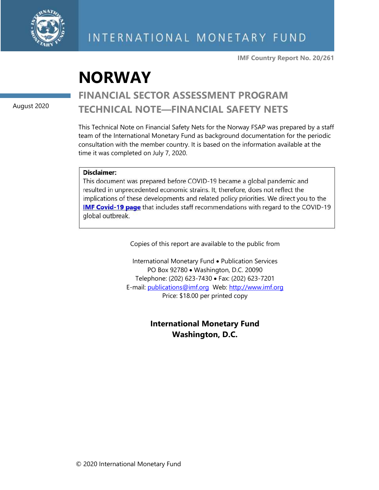

**IMF Country Report No. 20/261**

# **NORWAY**

August 2020

# **FINANCIAL SECTOR ASSESSMENT PROGRAM TECHNICAL NOTE—FINANCIAL SAFETY NETS**

This Technical Note on Financial Safety Nets for the Norway FSAP was prepared by a staff team of the International Monetary Fund as background documentation for the periodic consultation with the member country. It is based on the information available at the time it was completed on July 7, 2020.

### Disclaimer:

This document was prepared before COVID-19 became a global pandemic and resulted in unprecedented economic strains. It, therefore, does not reflect the implications of these developments and related policy priorities. We direct you to the **IMF Covid-19 page** that includes staff recommendations with regard to the COVID-19 global outbreak.

Copies of this report are available to the public from

International Monetary Fund • Publication Services PO Box 92780 • Washington, D.C. 20090 Telephone: (202) 623-7430 • Fax: (202) 623-7201 E-mail: [publications@imf.org](mailto:publications@imf.org) Web: [http://www.imf.org](http://www.imf.org/) Price: \$18.00 per printed copy

> **International Monetary Fund Washington, D.C.**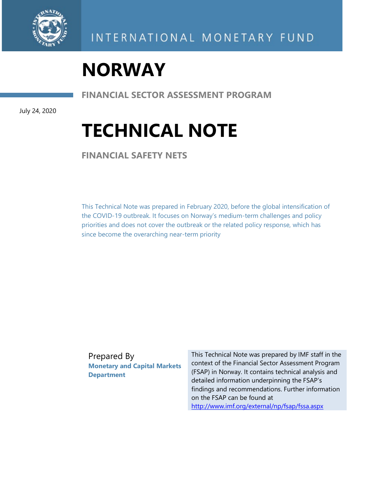

# **NORWAY**

**FINANCIAL SECTOR ASSESSMENT PROGRAM**

July 24, 2020

# **TECHNICAL NOTE**

**FINANCIAL SAFETY NETS** 

This Technical Note was prepared in February 2020, before the global intensification of the COVID-19 outbreak. It focuses on Norway's medium-term challenges and policy priorities and does not cover the outbreak or the related policy response, which has since become the overarching near-term priority

Prepared By **Monetary and Capital Markets Department**

This Technical Note was prepared by IMF staff in the context of the Financial Sector Assessment Program (FSAP) in Norway. It contains technical analysis and detailed information underpinning the FSAP's findings and recommendations. Further information on the FSAP can be found at <http://www.imf.org/external/np/fsap/fssa.aspx>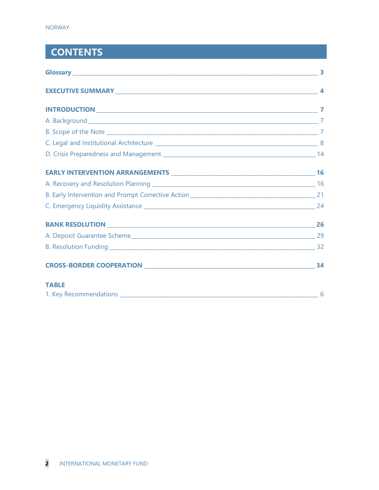# **CONTENTS**

| <b>TABLE</b> |    |
|--------------|----|
|              | -6 |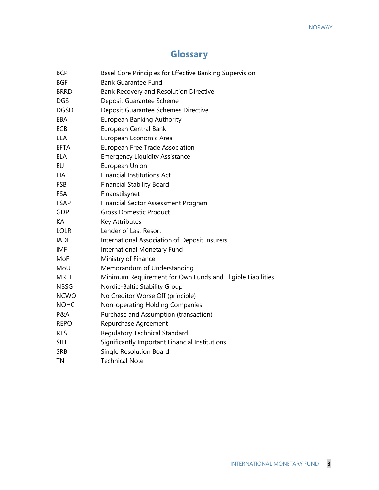# **Glossary**

| <b>BCP</b>  | Basel Core Principles for Effective Banking Supervision    |
|-------------|------------------------------------------------------------|
| <b>BGF</b>  | <b>Bank Guarantee Fund</b>                                 |
| <b>BRRD</b> | Bank Recovery and Resolution Directive                     |
| <b>DGS</b>  | Deposit Guarantee Scheme                                   |
| <b>DGSD</b> | Deposit Guarantee Schemes Directive                        |
| EBA         | European Banking Authority                                 |
| ECB         | European Central Bank                                      |
| EEA         | European Economic Area                                     |
| <b>EFTA</b> | European Free Trade Association                            |
| ELA         | <b>Emergency Liquidity Assistance</b>                      |
| <b>EU</b>   | European Union                                             |
| <b>FIA</b>  | <b>Financial Institutions Act</b>                          |
| <b>FSB</b>  | <b>Financial Stability Board</b>                           |
| <b>FSA</b>  | Finanstilsynet                                             |
| <b>FSAP</b> | <b>Financial Sector Assessment Program</b>                 |
| <b>GDP</b>  | <b>Gross Domestic Product</b>                              |
| KA          | Key Attributes                                             |
| <b>LOLR</b> | Lender of Last Resort                                      |
| <b>IADI</b> | International Association of Deposit Insurers              |
| <b>IMF</b>  | International Monetary Fund                                |
| MoF         | Ministry of Finance                                        |
| MoU         | Memorandum of Understanding                                |
| <b>MREL</b> | Minimum Requirement for Own Funds and Eligible Liabilities |
| <b>NBSG</b> | Nordic-Baltic Stability Group                              |
| <b>NCWO</b> | No Creditor Worse Off (principle)                          |
| <b>NOHC</b> | Non-operating Holding Companies                            |
| P&A         | Purchase and Assumption (transaction)                      |
| <b>REPO</b> | Repurchase Agreement                                       |
| <b>RTS</b>  | Regulatory Technical Standard                              |
| <b>SIFI</b> | Significantly Important Financial Institutions             |
| <b>SRB</b>  | Single Resolution Board                                    |
| <b>TN</b>   | <b>Technical Note</b>                                      |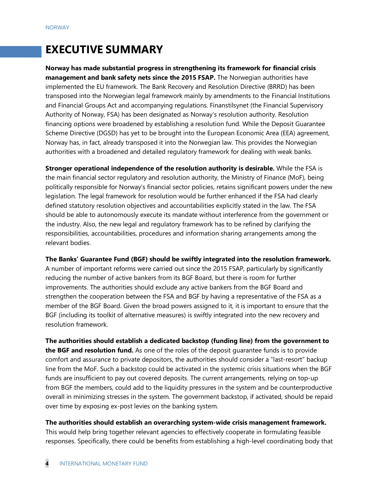# **EXECUTIVE SUMMARY**

**Norway has made substantial progress in strengthening its framework for financial crisis management and bank safety nets since the 2015 FSAP.** The Norwegian authorities have implemented the EU framework. The Bank Recovery and Resolution Directive (BRRD) has been transposed into the Norwegian legal framework mainly by amendments to the Financial Institutions and Financial Groups Act and accompanying regulations. Finanstilsynet (the Financial Supervisory Authority of Norway, FSA) has been designated as Norway's resolution authority. Resolution financing options were broadened by establishing a resolution fund. While the Deposit Guarantee Scheme Directive (DGSD) has yet to be brought into the European Economic Area (EEA) agreement, Norway has, in fact, already transposed it into the Norwegian law. This provides the Norwegian authorities with a broadened and detailed regulatory framework for dealing with weak banks.

**Stronger operational independence of the resolution authority is desirable.** While the FSA is the main financial sector regulatory and resolution authority, the Ministry of Finance (MoF), being politically responsible for Norway's financial sector policies, retains significant powers under the new legislation. The legal framework for resolution would be further enhanced if the FSA had clearly defined statutory resolution objectives and accountabilities explicitly stated in the law. The FSA should be able to autonomously execute its mandate without interference from the government or the industry. Also, the new legal and regulatory framework has to be refined by clarifying the responsibilities, accountabilities, procedures and information sharing arrangements among the relevant bodies.

#### **The Banks' Guarantee Fund (BGF) should be swiftly integrated into the resolution framework.**

A number of important reforms were carried out since the 2015 FSAP, particularly by significantly reducing the number of active bankers from its BGF Board, but there is room for further improvements. The authorities should exclude any active bankers from the BGF Board and strengthen the cooperation between the FSA and BGF by having a representative of the FSA as a member of the BGF Board. Given the broad powers assigned to it, it is important to ensure that the BGF (including its toolkit of alternative measures) is swiftly integrated into the new recovery and resolution framework.

**The authorities should establish a dedicated backstop (funding line) from the government to the BGF and resolution fund.** As one of the roles of the deposit guarantee funds is to provide comfort and assurance to private depositors, the authorities should consider a "last-resort" backup line from the MoF. Such a backstop could be activated in the systemic crisis situations when the BGF funds are insufficient to pay out covered deposits. The current arrangements, relying on top-up from BGF the members, could add to the liquidity pressures in the system and be counterproductive overall in minimizing stresses in the system. The government backstop, if activated, should be repaid over time by exposing ex-post levies on the banking system.

## **The authorities should establish an overarching system-wide crisis management framework.**

This would help bring together relevant agencies to effectively cooperate in formulating feasible responses. Specifically, there could be benefits from establishing a high-level coordinating body that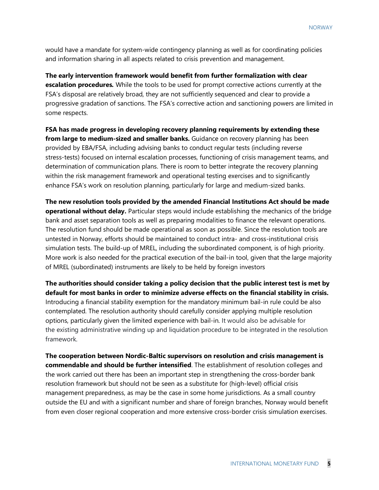would have a mandate for system-wide contingency planning as well as for coordinating policies and information sharing in all aspects related to crisis prevention and management.

**The early intervention framework would benefit from further formalization with clear escalation procedures***.* While the tools to be used for prompt corrective actions currently at the FSA's disposal are relatively broad, they are not sufficiently sequenced and clear to provide a progressive gradation of sanctions. The FSA's corrective action and sanctioning powers are limited in some respects.

**FSA has made progress in developing recovery planning requirements by extending these from large to medium-sized and smaller banks.** Guidance on recovery planning has been provided by EBA/FSA, including advising banks to conduct regular tests (including reverse stress-tests) focused on internal escalation processes, functioning of crisis management teams, and determination of communication plans. There is room to better integrate the recovery planning within the risk management framework and operational testing exercises and to significantly enhance FSA's work on resolution planning, particularly for large and medium-sized banks.

**The new resolution tools provided by the amended Financial Institutions Act should be made operational without delay.** Particular steps would include establishing the mechanics of the bridge bank and asset separation tools as well as preparing modalities to finance the relevant operations. The resolution fund should be made operational as soon as possible. Since the resolution tools are untested in Norway, efforts should be maintained to conduct intra- and cross-institutional crisis simulation tests. The build-up of MREL, including the subordinated component, is of high priority. More work is also needed for the practical execution of the bail-in tool, given that the large majority of MREL (subordinated) instruments are likely to be held by foreign investors

**The authorities should consider taking a policy decision that the public interest test is met by default for most banks in order to minimize adverse effects on the financial stability in crisis.** Introducing a financial stability exemption for the mandatory minimum bail-in rule could be also contemplated. The resolution authority should carefully consider applying multiple resolution options, particularly given the limited experience with bail-in. It would also be advisable for the existing administrative winding up and liquidation procedure to be integrated in the resolution framework.

**The cooperation between Nordic-Baltic supervisors on resolution and crisis management is commendable and should be further intensified**. The establishment of resolution colleges and the work carried out there has been an important step in strengthening the cross-border bank resolution framework but should not be seen as a substitute for (high-level) official crisis management preparedness, as may be the case in some home jurisdictions. As a small country outside the EU and with a significant number and share of foreign branches, Norway would benefit from even closer regional cooperation and more extensive cross-border crisis simulation exercises.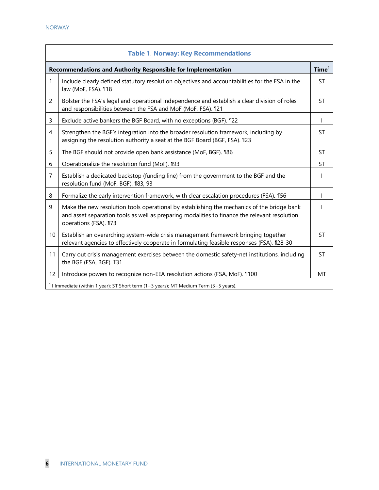| <b>Table 1. Norway: Key Recommendations</b>                  |                                                                                                                                                                                                                      |                   |
|--------------------------------------------------------------|----------------------------------------------------------------------------------------------------------------------------------------------------------------------------------------------------------------------|-------------------|
| Recommendations and Authority Responsible for Implementation |                                                                                                                                                                                                                      | Time <sup>1</sup> |
| 1                                                            | Include clearly defined statutory resolution objectives and accountabilities for the FSA in the<br>law (MoF, FSA). 118                                                                                               | <b>ST</b>         |
| $\overline{2}$                                               | Bolster the FSA's legal and operational independence and establish a clear division of roles<br>and responsibilities between the FSA and MoF (MoF, FSA). 121                                                         | <b>ST</b>         |
| 3                                                            | Exclude active bankers the BGF Board, with no exceptions (BGF). 1122                                                                                                                                                 | $\mathbf{I}$      |
| 4                                                            | Strengthen the BGF's integration into the broader resolution framework, including by<br>assigning the resolution authority a seat at the BGF Board (BGF, FSA). 123                                                   | <b>ST</b>         |
| 5                                                            | The BGF should not provide open bank assistance (MoF, BGF). 186                                                                                                                                                      | <b>ST</b>         |
| 6                                                            | Operationalize the resolution fund (MoF). 193                                                                                                                                                                        | <b>ST</b>         |
| $\overline{7}$                                               | Establish a dedicated backstop (funding line) from the government to the BGF and the<br>resolution fund (MoF, BGF). 183, 93                                                                                          |                   |
| 8                                                            | Formalize the early intervention framework, with clear escalation procedures (FSA). 156                                                                                                                              |                   |
| 9                                                            | Make the new resolution tools operational by establishing the mechanics of the bridge bank<br>and asset separation tools as well as preparing modalities to finance the relevant resolution<br>operations (FSA). 173 |                   |
| 10                                                           | Establish an overarching system-wide crisis management framework bringing together<br>relevant agencies to effectively cooperate in formulating feasible responses (FSA). 128-30                                     | <b>ST</b>         |
| 11                                                           | Carry out crisis management exercises between the domestic safety-net institutions, including<br>the BGF (FSA, BGF). 131                                                                                             | <b>ST</b>         |
| 12                                                           | Introduce powers to recognize non-EEA resolution actions (FSA, MoF). 1100                                                                                                                                            | МT                |
|                                                              | $1$ I Immediate (within 1 year); ST Short term (1-3 years); MT Medium Term (3-5 years).                                                                                                                              |                   |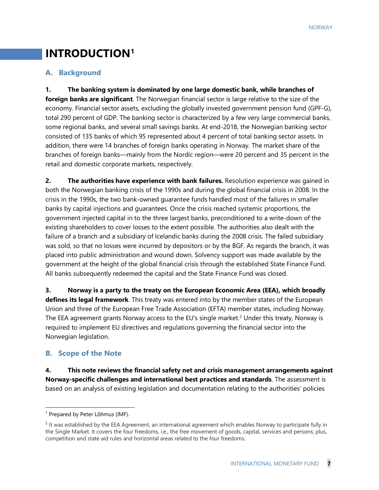# **INTRODUCTION[1](#page-7-0)**

# **A. Background**

**1. The banking system is dominated by one large domestic bank, while branches of foreign banks are significant**. The Norwegian financial sector is large relative to the size of the economy. Financial sector assets, excluding the globally invested government pension fund (GPF-G), total 290 percent of GDP. The banking sector is characterized by a few very large commercial banks, some regional banks, and several small savings banks. At end-2018, the Norwegian banking sector consisted of 135 banks of which 95 represented about 4 percent of total banking sector assets. In addition, there were 14 branches of foreign banks operating in Norway. The market share of the branches of foreign banks—mainly from the Nordic region—were 20 percent and 35 percent in the retail and domestic corporate markets, respectively.

**2. The authorities have experience with bank failures.** Resolution experience was gained in both the Norwegian banking crisis of the 1990s and during the global financial crisis in 2008. In the crisis in the 1990s, the two bank-owned guarantee funds handled most of the failures in smaller banks by capital injections and guarantees. Once the crisis reached systemic proportions, the government injected capital in to the three largest banks, preconditioned to a write-down of the existing shareholders to cover losses to the extent possible. The authorities also dealt with the failure of a branch and a subsidiary of Icelandic banks during the 2008 crisis. The failed subsidiary was sold, so that no losses were incurred by depositors or by the BGF. As regards the branch, it was placed into public administration and wound down. Solvency support was made available by the government at the height of the global financial crisis through the established State Finance Fund. All banks subsequently redeemed the capital and the State Finance Fund was closed.

**3. Norway is a party to the treaty on the European Economic Area (EEA), which broadly defines its legal framework**. This treaty was entered into by the member states of the European Union and three of the European Free Trade Association (EFTA) member states, including Norway. The EEA agreement grants Norway access to the EU's single market.<sup>2</sup> Under this treaty, Norway is required to implement EU directives and regulations governing the financial sector into the Norwegian legislation.

## **B. Scope of the Note**

**4. This note reviews the financial safety net and crisis management arrangements against Norway-specific challenges and international best practices and standards**. The assessment is based on an analysis of existing legislation and documentation relating to the authorities' policies

<span id="page-7-0"></span><sup>&</sup>lt;sup>1</sup> Prepared by Peter Lõhmus (IMF).

<span id="page-7-1"></span> $<sup>2</sup>$  It was established by the EEA Agreement, an international agreement which enables Norway to participate fully in</sup> the Single Market. It covers the four freedoms, i.e., the free movement of goods, capital, services and persons; plus, competition and state aid rules and horizontal areas related to the four freedoms.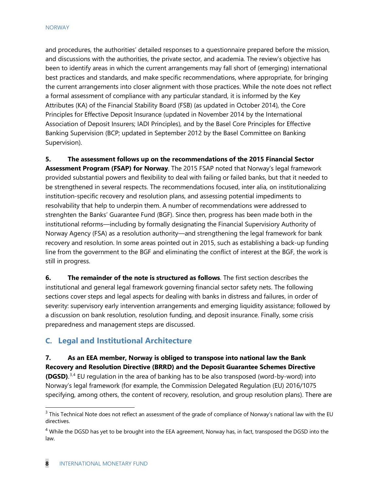and procedures, the authorities' detailed responses to a questionnaire prepared before the mission, and discussions with the authorities, the private sector, and academia. The review's objective has been to identify areas in which the current arrangements may fall short of (emerging) international best practices and standards, and make specific recommendations, where appropriate, for bringing the current arrangements into closer alignment with those practices. While the note does not reflect a formal assessment of compliance with any particular standard, it is informed by the Key Attributes (KA) of the Financial Stability Board (FSB) (as updated in October 2014), the Core Principles for Effective Deposit Insurance (updated in November 2014 by the International Association of Deposit Insurers; IADI Principles), and by the Basel Core Principles for Effective Banking Supervision (BCP; updated in September 2012 by the Basel Committee on Banking Supervision).

**5. The assessment follows up on the recommendations of the 2015 Financial Sector** 

**Assessment Program (FSAP) for Norway**. The 2015 FSAP noted that Norway's legal framework provided substantial powers and flexibility to deal with failing or failed banks, but that it needed to be strengthened in several respects. The recommendations focused, inter alia, on institutionalizing institution-specific recovery and resolution plans, and assessing potential impediments to resolvability that help to underpin them. A number of recommendations were addressed to strenghten the Banks' Guarantee Fund (BGF). Since then, progress has been made both in the institutional reforms—including by formally designating the Financial Supervisiory Authority of Norway Agency (FSA) as a resolution authority—and strengthening the legal framework for bank recovery and resolution. In some areas pointed out in 2015, such as establishing a back-up funding line from the government to the BGF and eliminating the conflict of interest at the BGF, the work is still in progress.

**6. The remainder of the note is structured as follows**. The first section describes the institutional and general legal framework governing financial sector safety nets. The following sections cover steps and legal aspects for dealing with banks in distress and failures, in order of severity: supervisory early intervention arrangements and emerging liquidity assistance; followed by a discussion on bank resolution, resolution funding, and deposit insurance. Finally, some crisis preparedness and management steps are discussed.

# **C. Legal and Institutional Architecture**

**7. As an EEA member, Norway is obliged to transpose into national law the Bank Recovery and Resolution Directive (BRRD) and the Deposit Guarantee Schemes Directive (DGSD)**. [3](#page-8-0),[4](#page-8-1) EU regulation in the area of banking has to be also transposed (word-by-word) into Norway's legal framework (for example, the Commission Delegated Regulation (EU) 2016/1075 specifying, among others, the content of recovery, resolution, and group resolution plans). There are

<span id="page-8-0"></span> $3$  This Technical Note does not reflect an assessment of the grade of compliance of Norway's national law with the EU directives.

<span id="page-8-1"></span><sup>&</sup>lt;sup>4</sup> While the DGSD has yet to be brought into the EEA agreement, Norway has, in fact, transposed the DGSD into the law.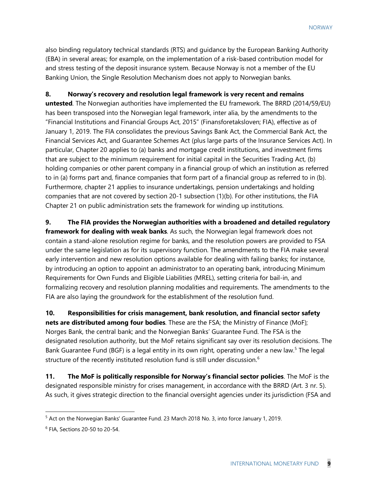also binding regulatory technical standards (RTS) and guidance by the European Banking Authority (EBA) in several areas; for example, on the implementation of a risk-based contribution model for and stress testing of the deposit insurance system. Because Norway is not a member of the EU Banking Union, the Single Resolution Mechanism does not apply to Norwegian banks.

### **8. Norway's recovery and resolution legal framework is very recent and remains**

**untested**. The Norwegian authorities have implemented the EU framework. The BRRD (2014/59/EU) has been transposed into the Norwegian legal framework, inter alia, by the amendments to the "Financial Institutions and Financial Groups Act, 2015" (Finansforetaksloven; FIA), effective as of January 1, 2019. The FIA consolidates the previous Savings Bank Act, the Commercial Bank Act, the Financial Services Act, and Guarantee Schemes Act (plus large parts of the Insurance Services Act). In particular, Chapter 20 applies to (a) banks and mortgage credit institutions, and investment firms that are subject to the minimum requirement for initial capital in the Securities Trading Act, (b) holding companies or other parent company in a financial group of which an institution as referred to in (a) forms part and, finance companies that form part of a financial group as referred to in (b). Furthermore, chapter 21 applies to insurance undertakings, pension undertakings and holding companies that are not covered by section 20-1 subsection (1)(b). For other institutions, the FIA Chapter 21 on public administration sets the framework for winding up institutions.

**9. The FIA provides the Norwegian authorities with a broadened and detailed regulatory framework for dealing with weak banks**. As such, the Norwegian legal framework does not contain a stand-alone resolution regime for banks, and the resolution powers are provided to FSA under the same legislation as for its supervisory function. The amendments to the FIA make several early intervention and new resolution options available for dealing with failing banks; for instance, by introducing an option to appoint an administrator to an operating bank, introducing Minimum Requirements for Own Funds and Eligible Liabilities (MREL), setting criteria for bail-in, and formalizing recovery and resolution planning modalities and requirements. The amendments to the FIA are also laying the groundwork for the establishment of the resolution fund.

**10. Responsibilities for crisis management, bank resolution, and financial sector safety nets are distributed among four bodies**. These are the FSA; the Ministry of Finance (MoF); Norges Bank, the central bank; and the Norwegian Banks' Guarantee Fund. The FSA is the designated resolution authority, but the MoF retains significant say over its resolution decisions. The Bank Guarantee Fund (BGF) is a legal entity in its own right, operating under a new law.<sup>[5](#page-9-0)</sup> The legal structure of the recently instituted resolution fund is still under discussion.<sup>[6](#page-9-1)</sup>

**11. The MoF is politically responsible for Norway's financial sector policies**. The MoF is the designated responsible ministry for crises management, in accordance with the BRRD (Art. 3 nr. 5). As such, it gives strategic direction to the financial oversight agencies under its jurisdiction (FSA and

<span id="page-9-0"></span><sup>5</sup> Act on the Norwegian Banks' Guarantee Fund. 23 March 2018 No. 3, into force January 1, 2019.

<span id="page-9-1"></span><sup>6</sup> FIA, Sections 20-50 to 20-54.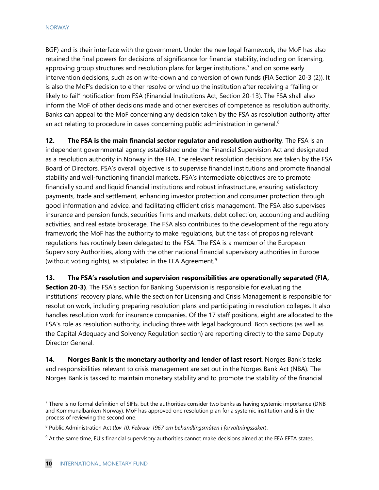BGF) and is their interface with the government. Under the new legal framework, the MoF has also retained the final powers for decisions of significance for financial stability, including on licensing, approving group structures and resolution plans for larger institutions,<sup>[7](#page-10-0)</sup> and on some early intervention decisions, such as on write-down and conversion of own funds (FIA Section 20-3 (2)). It is also the MoF's decision to either resolve or wind up the institution after receiving a "failing or likely to fail" notification from FSA (Financial Institutions Act, Section 20-13). The FSA shall also inform the MoF of other decisions made and other exercises of competence as resolution authority. Banks can appeal to the MoF concerning any decision taken by the FSA as resolution authority after an act relating to procedure in cases concerning public administration in general.<sup>[8](#page-10-1)</sup>

**12. The FSA is the main financial sector regulator and resolution authority**. The FSA is an independent governmental agency established under the Financial Supervision Act and designated as a resolution authority in Norway in the FIA. The relevant resolution decisions are taken by the FSA Board of Directors. FSA's overall objective is to supervise financial institutions and promote financial stability and well-functioning financial markets. FSA's intermediate objectives are to promote financially sound and liquid financial institutions and robust infrastructure, ensuring satisfactory payments, trade and settlement, enhancing investor protection and consumer protection through good information and advice, and facilitating efficient crisis management. The FSA also supervises insurance and pension funds, securities firms and markets, debt collection, accounting and auditing activities, and real estate brokerage. The FSA also contributes to the development of the regulatory framework; the MoF has the authority to make regulations, but the task of proposing relevant regulations has routinely been delegated to the FSA. The FSA is a member of the European Supervisory Authorities, along with the other national financial supervisory authorities in Europe (without voting rights), as stipulated in the EEA Agreement. $9$ 

**13. The FSA's resolution and supervision responsibilities are operationally separated (FIA,** 

**Section 20-3)**. The FSA's section for Banking Supervision is responsible for evaluating the institutions' recovery plans, while the section for Licensing and Crisis Management is responsible for resolution work, including preparing resolution plans and participating in resolution colleges. It also handles resolution work for insurance companies. Of the 17 staff positions, eight are allocated to the FSA's role as resolution authority, including three with legal background. Both sections (as well as the Capital Adequacy and Solvency Regulation section) are reporting directly to the same Deputy Director General.

**14. Norges Bank is the monetary authority and lender of last resort**. Norges Bank's tasks and responsibilities relevant to crisis management are set out in the Norges Bank Act (NBA). The Norges Bank is tasked to maintain monetary stability and to promote the stability of the financial

<span id="page-10-0"></span> $<sup>7</sup>$  There is no formal definition of SIFIs, but the authorities consider two banks as having systemic importance (DNB</sup> and Kommunalbanken Norway). MoF has approved one resolution plan for a systemic institution and is in the process of reviewing the second one.

<span id="page-10-1"></span><sup>8</sup> Public Administration Act (*lov 10. Februar 1967 om behandlingsmåten i forvaltningssaker*).

<span id="page-10-2"></span> $9$  At the same time, EU's financial supervisory authorities cannot make decisions aimed at the EEA EFTA states.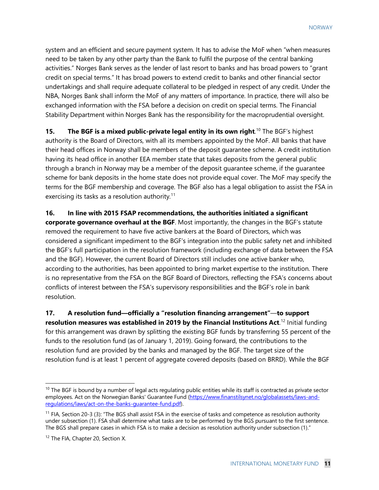system and an efficient and secure payment system. It has to advise the MoF when "when measures need to be taken by any other party than the Bank to fulfil the purpose of the central banking activities." Norges Bank serves as the lender of last resort to banks and has broad powers to "grant credit on special terms." It has broad powers to extend credit to banks and other financial sector undertakings and shall require adequate collateral to be pledged in respect of any credit. Under the NBA, Norges Bank shall inform the MoF of any matters of importance. In practice, there will also be exchanged information with the FSA before a decision on credit on special terms. The Financial Stability Department within Norges Bank has the responsibility for the macroprudential oversight.

**15.** The BGF is a mixed public-private legal entity in its own right.<sup>[10](#page-11-0)</sup> The BGF's highest authority is the Board of Directors, with all its members appointed by the MoF. All banks that have their head offices in Norway shall be members of the deposit guarantee scheme. A credit institution having its head office in another EEA member state that takes deposits from the general public through a branch in Norway may be a member of the deposit guarantee scheme, if the guarantee scheme for bank deposits in the home state does not provide equal cover. The MoF may specify the terms for the BGF membership and coverage. The BGF also has a legal obligation to assist the FSA in exercising its tasks as a resolution authority.<sup>[11](#page-11-1)</sup>

**16. In line with 2015 FSAP recommendations, the authorities initiated a significant corporate governance overhaul at the BGF**. Most importantly, the changes in the BGF's statute removed the requirement to have five active bankers at the Board of Directors, which was considered a significant impediment to the BGF's integration into the public safety net and inhibited the BGF's full participation in the resolution framework (including exchange of data between the FSA and the BGF). However, the current Board of Directors still includes one active banker who, according to the authorities, has been appointed to bring market expertise to the institution. There is no representative from the FSA on the BGF Board of Directors, reflecting the FSA's concerns about conflicts of interest between the FSA's supervisory responsibilities and the BGF's role in bank resolution.

**17. A resolution fund—officially a "resolution financing arrangement"**—**to support resolution measures was established in 2019 by the Financial Institutions Act**. [12](#page-11-2) Initial funding for this arrangement was drawn by splitting the existing BGF funds by transferring 55 percent of the funds to the resolution fund (as of January 1, 2019). Going forward, the contributions to the resolution fund are provided by the banks and managed by the BGF. The target size of the resolution fund is at least 1 percent of aggregate covered deposits (based on BRRD). While the BGF

<span id="page-11-0"></span> $10$  The BGF is bound by a number of legal acts regulating public entities while its staff is contracted as private sector employees. Act on the Norwegian Banks' Guarantee Fund [\(https://www.finanstilsynet.no/globalassets/laws-and](https://www.finanstilsynet.no/globalassets/laws-and-regulations/laws/act-on-the-banks-guarantee-fund.pdf)[regulations/laws/act-on-the-banks-guarantee-fund.pdf\)](https://www.finanstilsynet.no/globalassets/laws-and-regulations/laws/act-on-the-banks-guarantee-fund.pdf).

<span id="page-11-1"></span> $11$  FIA, Section 20-3 (3): "The BGS shall assist FSA in the exercise of tasks and competence as resolution authority under subsection (1). FSA shall determine what tasks are to be performed by the BGS pursuant to the first sentence. The BGS shall prepare cases in which FSA is to make a decision as resolution authority under subsection (1)."

<span id="page-11-2"></span><sup>&</sup>lt;sup>12</sup> The FIA, Chapter 20, Section X.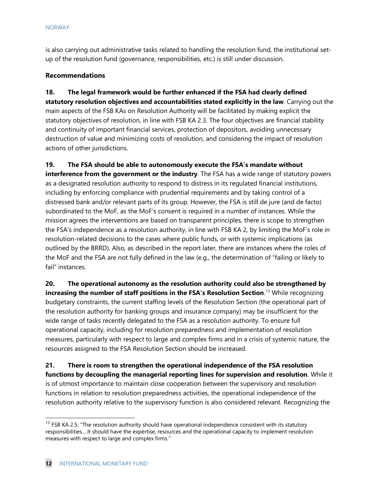is also carrying out administrative tasks related to handling the resolution fund, the institutional setup of the resolution fund (governance, responsibilities, etc.) is still under discussion.

### **Recommendations**

**18. The legal framework would be further enhanced if the FSA had clearly defined statutory resolution objectives and accountabilities stated explicitly in the law**. Carrying out the main aspects of the FSB KAs on Resolution Authority will be facilitated by making explicit the statutory objectives of resolution, in line with FSB KA 2.3. The four objectives are financial stability and continuity of important financial services, protection of depositors, avoiding unnecessary destruction of value and minimizing costs of resolution, and considering the impact of resolution actions of other jurisdictions.

**19. The FSA should be able to autonomously execute the FSA's mandate without** 

**interference from the government or the industry**. The FSA has a wide range of statutory powers as a designated resolution authority to respond to distress in its regulated financial institutions, including by enforcing compliance with prudential requirements and by taking control of a distressed bank and/or relevant parts of its group. However, the FSA is still de jure (and de facto) subordinated to the MoF, as the MoF's consent is required in a number of instances. While the mission agrees the interventions are based on transparent principles, there is scope to strengthen the FSA's independence as a resolution authority, in line with FSB KA 2, by limiting the MoF's role in resolution-related decisions to the cases where public funds, or with systemic implications (as outlined by the BRRD). Also, as described in the report later, there are instances where the roles of the MoF and the FSA are not fully defined in the law (e.g., the determination of "failing or likely to fail" instances.

**20. The operational autonomy as the resolution authority could also be strengthened by increasing the number of staff positions in the FSA's Resolution Section**. [13](#page-12-0) While recognizing budgetary constraints, the current staffing levels of the Resolution Section (the operational part of the resolution authority for banking groups and insurance company) may be insufficient for the wide range of tasks recently delegated to the FSA as a resolution authority. To ensure full operational capacity, including for resolution preparedness and implementation of resolution measures, particularly with respect to large and complex firms and in a crisis of systemic nature, the resources assigned to the FSA Resolution Section should be increased.

**21. There is room to strengthen the operational independence of the FSA resolution functions by decoupling the managerial reporting lines for supervision and resolution**. While it is of utmost importance to maintain close cooperation between the supervisory and resolution functions in relation to resolution preparedness activities, the operational independence of the resolution authority relative to the supervisory function is also considered relevant. Recognizing the

<span id="page-12-0"></span> $13$  FSB KA 2.5: "The resolution authority should have operational independence consistent with its statutory responsibilities….It should have the expertise, resources and the operational capacity to implement resolution measures with respect to large and complex firms."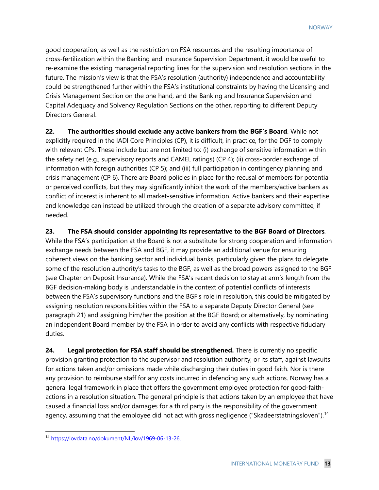good cooperation, as well as the restriction on FSA resources and the resulting importance of cross-fertilization within the Banking and Insurance Supervision Department, it would be useful to re-examine the existing managerial reporting lines for the supervision and resolution sections in the future. The mission's view is that the FSA's resolution (authority) independence and accountability could be strengthened further within the FSA's institutional constraints by having the Licensing and Crisis Management Section on the one hand, and the Banking and Insurance Supervision and Capital Adequacy and Solvency Regulation Sections on the other, reporting to different Deputy Directors General.

**22. The authorities should exclude any active bankers from the BGF's Board**. While not explicitly required in the IADI Core Principles (CP), it is difficult, in practice, for the DGF to comply with relevant CPs. These include but are not limited to: (i) exchange of sensitive information within the safety net (e.g., supervisory reports and CAMEL ratings) (CP 4); (ii) cross-border exchange of information with foreign authorities (CP 5); and (iii) full participation in contingency planning and crisis management (CP 6). There are Board policies in place for the recusal of members for potential or perceived conflicts, but they may significantly inhibit the work of the members/active bankers as conflict of interest is inherent to all market-sensitive information. Active bankers and their expertise and knowledge can instead be utilized through the creation of a separate advisory committee, if needed.

**23. The FSA should consider appointing its representative to the BGF Board of Directors**.

While the FSA's participation at the Board is not a substitute for strong cooperation and information exchange needs between the FSA and BGF, it may provide an additional venue for ensuring coherent views on the banking sector and individual banks, particularly given the plans to delegate some of the resolution authority's tasks to the BGF, as well as the broad powers assigned to the BGF (see Chapter on Deposit Insurance). While the FSA's recent decision to stay at arm's length from the BGF decision-making body is understandable in the context of potential conflicts of interests between the FSA's supervisory functions and the BGF's role in resolution, this could be mitigated by assigning resolution responsibilities within the FSA to a separate Deputy Director General (see paragraph 21) and assigning him/her the position at the BGF Board; or alternatively, by nominating an independent Board member by the FSA in order to avoid any conflicts with respective fiduciary duties.

24. Legal protection for FSA staff should be strengthened. There is currently no specific provision granting protection to the supervisor and resolution authority, or its staff, against lawsuits for actions taken and/or omissions made while discharging their duties in good faith. Nor is there any provision to reimburse staff for any costs incurred in defending any such actions. Norway has a general legal framework in place that offers the government employee protection for good-faithactions in a resolution situation. The general principle is that actions taken by an employee that have caused a financial loss and/or damages for a third party is the responsibility of the government agency, assuming that the employee did not act with gross negligence ("Skadeerstatningsloven").<sup>[14](#page-13-0)</sup>

<span id="page-13-0"></span><sup>14</sup> [https://lovdata.no/dokument/NL/lov/1969-06-13-26.](https://lovdata.no/dokument/NL/lov/1969-06-13-26)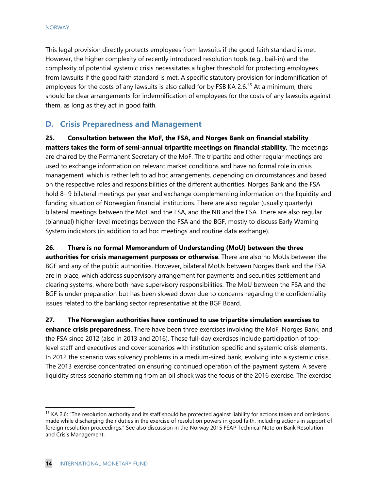This legal provision directly protects employees from lawsuits if the good faith standard is met. However, the higher complexity of recently introduced resolution tools (e.g., bail-in) and the complexity of potential systemic crisis necessitates a higher threshold for protecting employees from lawsuits if the good faith standard is met. A specific statutory provision for indemnification of employees for the costs of any lawsuits is also called for by FSB KA 2.6.<sup>[15](#page-14-0)</sup> At a minimum, there should be clear arrangements for indemnification of employees for the costs of any lawsuits against them, as long as they act in good faith.

# **D. Crisis Preparedness and Management**

**25. Consultation between the MoF, the FSA, and Norges Bank on financial stability matters takes the form of semi-annual tripartite meetings on financial stability.** The meetings are chaired by the Permanent Secretary of the MoF. The tripartite and other regular meetings are used to exchange information on relevant market conditions and have no formal role in crisis management, which is rather left to ad hoc arrangements, depending on circumstances and based on the respective roles and responsibilities of the different authorities. Norges Bank and the FSA hold 8−9 bilateral meetings per year and exchange complementing information on the liquidity and funding situation of Norwegian financial institutions. There are also regular (usually quarterly) bilateral meetings between the MoF and the FSA, and the NB and the FSA. There are also regular (biannual) higher-level meetings between the FSA and the BGF, mostly to discuss Early Warning System indicators (in addition to ad hoc meetings and routine data exchange).

**26. There is no formal Memorandum of Understanding (MoU) between the three authorities for crisis management purposes or otherwise**. There are also no MoUs between the BGF and any of the public authorities. However, bilateral MoUs between Norges Bank and the FSA are in place, which address supervisory arrangement for payments and securities settlement and clearing systems, where both have supervisory responsibilities. The MoU between the FSA and the BGF is under preparation but has been slowed down due to concerns regarding the confidentiality

issues related to the banking sector representative at the BGF Board.

**27. The Norwegian authorities have continued to use tripartite simulation exercises to enhance crisis preparedness**. There have been three exercises involving the MoF, Norges Bank, and the FSA since 2012 (also in 2013 and 2016). These full-day exercises include participation of toplevel staff and executives and cover scenarios with institution-specific and systemic crisis elements. In 2012 the scenario was solvency problems in a medium-sized bank, evolving into a systemic crisis. The 2013 exercise concentrated on ensuring continued operation of the payment system. A severe liquidity stress scenario stemming from an oil shock was the focus of the 2016 exercise. The exercise

<span id="page-14-0"></span> $15$  KA 2.6: "The resolution authority and its staff should be protected against liability for actions taken and omissions made while discharging their duties in the exercise of resolution powers in good faith, including actions in support of foreign resolution proceedings." See also discussion in the Norway 2015 FSAP Technical Note on Bank Resolution and Crisis Management.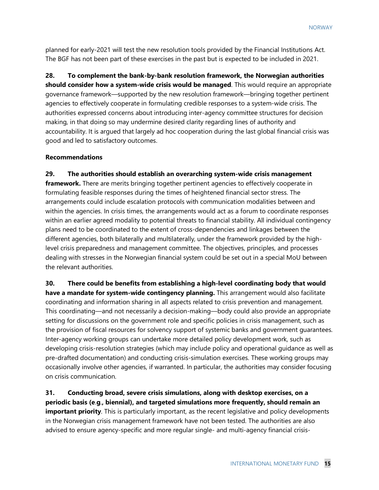planned for early-2021 will test the new resolution tools provided by the Financial Institutions Act. The BGF has not been part of these exercises in the past but is expected to be included in 2021.

**28. To complement the bank-by-bank resolution framework, the Norwegian authorities should consider how a system-wide crisis would be managed**. This would require an appropriate governance framework—supported by the new resolution framework—bringing together pertinent agencies to effectively cooperate in formulating credible responses to a system-wide crisis. The authorities expressed concerns about introducing inter-agency committee structures for decision making, in that doing so may undermine desired clarity regarding lines of authority and accountability. It is argued that largely ad hoc cooperation during the last global financial crisis was good and led to satisfactory outcomes.

#### **Recommendations**

**29. The authorities should establish an overarching system-wide crisis management framework.** There are merits bringing together pertinent agencies to effectively cooperate in formulating feasible responses during the times of heightened financial sector stress. The arrangements could include escalation protocols with communication modalities between and within the agencies. In crisis times, the arrangements would act as a forum to coordinate responses within an earlier agreed modality to potential threats to financial stability. All individual contingency plans need to be coordinated to the extent of cross-dependencies and linkages between the different agencies, both bilaterally and multilaterally, under the framework provided by the highlevel crisis preparedness and management committee. The objectives, principles, and processes dealing with stresses in the Norwegian financial system could be set out in a special MoU between the relevant authorities.

**30. There could be benefits from establishing a high-level coordinating body that would have a mandate for system-wide contingency planning.** This arrangement would also facilitate coordinating and information sharing in all aspects related to crisis prevention and management. This coordinating—and not necessarily a decision-making—body could also provide an appropriate setting for discussions on the government role and specific policies in crisis management, such as the provision of fiscal resources for solvency support of systemic banks and government guarantees. Inter-agency working groups can undertake more detailed policy development work, such as developing crisis-resolution strategies (which may include policy and operational guidance as well as pre-drafted documentation) and conducting crisis-simulation exercises. These working groups may occasionally involve other agencies, if warranted. In particular, the authorities may consider focusing on crisis communication.

**31. Conducting broad, severe crisis simulations, along with desktop exercises, on a periodic basis (e**.**g**.**, biennial), and targeted simulations more frequently, should remain an important priority**. This is particularly important, as the recent legislative and policy developments in the Norwegian crisis management framework have not been tested. The authorities are also advised to ensure agency-specific and more regular single- and multi-agency financial crisis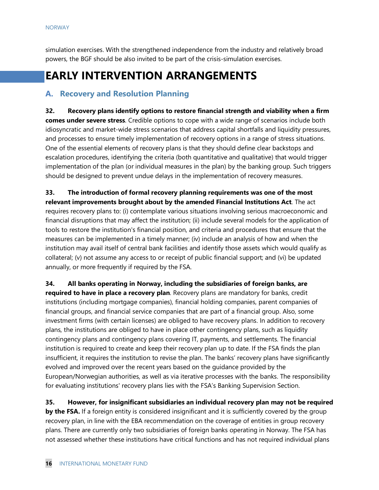simulation exercises. With the strengthened independence from the industry and relatively broad powers, the BGF should be also invited to be part of the crisis-simulation exercises.

# **EARLY INTERVENTION ARRANGEMENTS**

## **A. Recovery and Resolution Planning**

**32. Recovery plans identify options to restore financial strength and viability when a firm comes under severe stress**. Credible options to cope with a wide range of scenarios include both idiosyncratic and market-wide stress scenarios that address capital shortfalls and liquidity pressures, and processes to ensure timely implementation of recovery options in a range of stress situations. One of the essential elements of recovery plans is that they should define clear backstops and escalation procedures, identifying the criteria (both quantitative and qualitative) that would trigger implementation of the plan (or individual measures in the plan) by the banking group. Such triggers should be designed to prevent undue delays in the implementation of recovery measures.

**33. The introduction of formal recovery planning requirements was one of the most relevant improvements brought about by the amended Financial Institutions Act**. The act requires recovery plans to: (i) contemplate various situations involving serious macroeconomic and financial disruptions that may affect the institution; (ii) include several models for the application of tools to restore the institution's financial position, and criteria and procedures that ensure that the measures can be implemented in a timely manner; (iv) include an analysis of how and when the institution may avail itself of central bank facilities and identify those assets which would qualify as collateral; (v) not assume any access to or receipt of public financial support; and (vi) be updated annually, or more frequently if required by the FSA.

**34. All banks operating in Norway, including the subsidiaries of foreign banks, are required to have in place a recovery plan**. Recovery plans are mandatory for banks, credit institutions (including mortgage companies), financial holding companies, parent companies of financial groups, and financial service companies that are part of a financial group. Also, some investment firms (with certain licenses) are obliged to have recovery plans. In addition to recovery plans, the institutions are obliged to have in place other contingency plans, such as liquidity contingency plans and contingency plans covering IT, payments, and settlements. The financial institution is required to create and keep their recovery plan up to date. If the FSA finds the plan insufficient, it requires the institution to revise the plan. The banks' recovery plans have significantly evolved and improved over the recent years based on the guidance provided by the European/Norwegian authorities, as well as via iterative processes with the banks. The responsibility for evaluating institutions' recovery plans lies with the FSA's Banking Supervision Section.

**35. However, for insignificant subsidiaries an individual recovery plan may not be required by the FSA.** If a foreign entity is considered insignificant and it is sufficiently covered by the group recovery plan, in line with the EBA recommendation on the coverage of entities in group recovery plans. There are currently only two subsidiaries of foreign banks operating in Norway. The FSA has not assessed whether these institutions have critical functions and has not required individual plans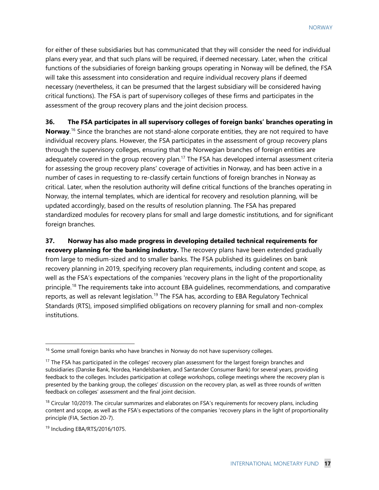for either of these subsidiaries but has communicated that they will consider the need for individual plans every year, and that such plans will be required, if deemed necessary. Later, when the critical functions of the subsidiaries of foreign banking groups operating in Norway will be defined, the FSA will take this assessment into consideration and require individual recovery plans if deemed necessary (nevertheless, it can be presumed that the largest subsidiary will be considered having critical functions). The FSA is part of supervisory colleges of these firms and participates in the assessment of the group recovery plans and the joint decision process.

**36. The FSA participates in all supervisory colleges of foreign banks' branches operating in**  Norway.<sup>[16](#page-17-0)</sup> Since the branches are not stand-alone corporate entities, they are not required to have individual recovery plans. However, the FSA participates in the assessment of group recovery plans through the supervisory colleges, ensuring that the Norwegian branches of foreign entities are adequately covered in the group recovery plan.<sup>[17](#page-17-1)</sup> The FSA has developed internal assessment criteria for assessing the group recovery plans' coverage of activities in Norway, and has been active in a number of cases in requesting to re-classify certain functions of foreign branches in Norway as critical. Later, when the resolution authority will define critical functions of the branches operating in Norway, the internal templates, which are identical for recovery and resolution planning, will be updated accordingly, based on the results of resolution planning. The FSA has prepared standardized modules for recovery plans for small and large domestic institutions, and for significant foreign branches.

**37. Norway has also made progress in developing detailed technical requirements for recovery planning for the banking industry.** The recovery plans have been extended gradually from large to medium-sized and to smaller banks. The FSA published its guidelines on bank recovery planning in 2019, specifying recovery plan requirements, including content and scope, as well as the FSA's expectations of the companies 'recovery plans in the light of the proportionality principle.<sup>[18](#page-17-2)</sup> The requirements take into account EBA guidelines, recommendations, and comparative reports, as well as relevant legislation.<sup>[19](#page-17-3)</sup> The FSA has, according to EBA Regulatory Technical Standards (RTS), imposed simplified obligations on recovery planning for small and non-complex institutions.

<span id="page-17-0"></span><sup>&</sup>lt;sup>16</sup> Some small foreign banks who have branches in Norway do not have supervisory colleges.

<span id="page-17-1"></span><sup>&</sup>lt;sup>17</sup> The FSA has participated in the colleges' recovery plan assessment for the largest foreign branches and subsidiaries (Danske Bank, Nordea, Handelsbanken, and Santander Consumer Bank) for several years, providing feedback to the colleges. Includes participation at college workshops, college meetings where the recovery plan is presented by the banking group, the colleges' discussion on the recovery plan, as well as three rounds of written feedback on colleges' assessment and the final joint decision.

<span id="page-17-2"></span> $18$  Circular 10/2019. The circular summarizes and elaborates on FSA's requirements for recovery plans, including content and scope, as well as the FSA's expectations of the companies 'recovery plans in the light of proportionality principle (FIA, Section 20-7).

<span id="page-17-3"></span><sup>19</sup> Including EBA/RTS/2016/1075.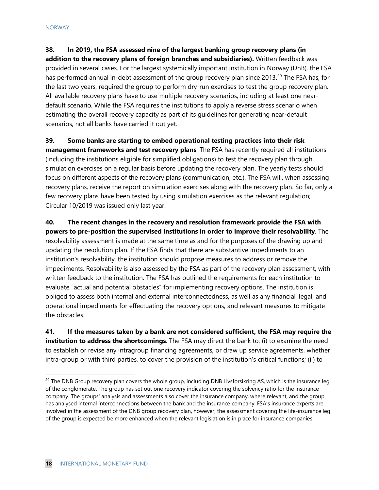**38. In 2019, the FSA assessed nine of the largest banking group recovery plans (in addition to the recovery plans of foreign branches and subsidiaries).** Written feedback was provided in several cases. For the largest systemically important institution in Norway (DnB), the FSA has performed annual in-debt assessment of the group recovery plan since [20](#page-18-0)13.<sup>20</sup> The FSA has, for the last two years, required the group to perform dry-run exercises to test the group recovery plan. All available recovery plans have to use multiple recovery scenarios, including at least one neardefault scenario. While the FSA requires the institutions to apply a reverse stress scenario when estimating the overall recovery capacity as part of its guidelines for generating near-default scenarios, not all banks have carried it out yet.

**39. Some banks are starting to embed operational testing practices into their risk management frameworks and test recovery plans**. The FSA has recently required all institutions (including the institutions eligible for simplified obligations) to test the recovery plan through simulation exercises on a regular basis before updating the recovery plan. The yearly tests should focus on different aspects of the recovery plans (communication, etc.). The FSA will, when assessing recovery plans, receive the report on simulation exercises along with the recovery plan. So far, only a few recovery plans have been tested by using simulation exercises as the relevant regulation; Circular 10/2019 was issued only last year.

**40. The recent changes in the recovery and resolution framework provide the FSA with powers to pre-position the supervised institutions in order to improve their resolvability**. The resolvability assessment is made at the same time as and for the purposes of the drawing up and updating the resolution plan. If the FSA finds that there are substantive impediments to an institution's resolvability, the institution should propose measures to address or remove the impediments. Resolvability is also assessed by the FSA as part of the recovery plan assessment, with written feedback to the institution. The FSA has outlined the requirements for each institution to evaluate "actual and potential obstacles" for implementing recovery options. The institution is obliged to assess both internal and external interconnectedness, as well as any financial, legal, and operational impediments for effectuating the recovery options, and relevant measures to mitigate the obstacles.

**41. If the measures taken by a bank are not considered sufficient, the FSA may require the institution to address the shortcomings**. The FSA may direct the bank to: (i) to examine the need to establish or revise any intragroup financing agreements, or draw up service agreements, whether intra-group or with third parties, to cover the provision of the institution's critical functions; (ii) to

<span id="page-18-0"></span><sup>&</sup>lt;sup>20</sup> The DNB Group recovery plan covers the whole group, including DNB Livsforsikring AS, which is the insurance leg of the conglomerate. The group has set out one recovery indicator covering the solvency ratio for the insurance company. The groups' analysis and assessments also cover the insurance company, where relevant, and the group has analysed internal interconnections between the bank and the insurance company. FSA's insurance experts are involved in the assessment of the DNB group recovery plan, however, the assessment covering the life-insurance leg of the group is expected be more enhanced when the relevant legislation is in place for insurance companies.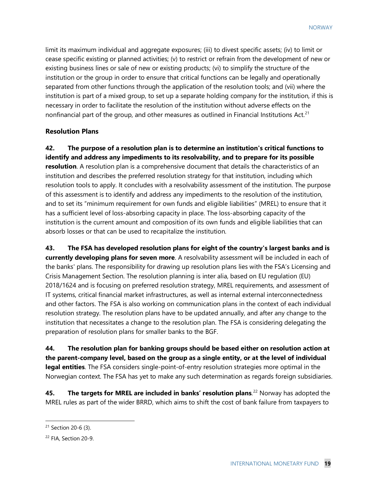limit its maximum individual and aggregate exposures; (iii) to divest specific assets; (iv) to limit or cease specific existing or planned activities; (v) to restrict or refrain from the development of new or existing business lines or sale of new or existing products; (vi) to simplify the structure of the institution or the group in order to ensure that critical functions can be legally and operationally separated from other functions through the application of the resolution tools; and (vii) where the institution is part of a mixed group, to set up a separate holding company for the institution, if this is necessary in order to facilitate the resolution of the institution without adverse effects on the nonfinancial part of the group, and other measures as outlined in Financial Institutions Act.<sup>[21](#page-19-0)</sup>

#### **Resolution Plans**

**42. The purpose of a resolution plan is to determine an institution's critical functions to identify and address any impediments to its resolvability, and to prepare for its possible resolution**. A resolution plan is a comprehensive document that details the characteristics of an institution and describes the preferred resolution strategy for that institution, including which resolution tools to apply. It concludes with a resolvability assessment of the institution. The purpose of this assessment is to identify and address any impediments to the resolution of the institution, and to set its "minimum requirement for own funds and eligible liabilities" (MREL) to ensure that it has a sufficient level of loss-absorbing capacity in place. The loss-absorbing capacity of the institution is the current amount and composition of its own funds and eligible liabilities that can absorb losses or that can be used to recapitalize the institution.

**43. The FSA has developed resolution plans for eight of the country's largest banks and is currently developing plans for seven more**. A resolvability assessment will be included in each of the banks' plans. The responsibility for drawing up resolution plans lies with the FSA's Licensing and Crisis Management Section. The resolution planning is inter alia, based on EU regulation (EU) 2018/1624 and is focusing on preferred resolution strategy, MREL requirements, and assessment of IT systems, critical financial market infrastructures, as well as internal external interconnectedness and other factors. The FSA is also working on communication plans in the context of each individual resolution strategy. The resolution plans have to be updated annually, and after any change to the institution that necessitates a change to the resolution plan. The FSA is considering delegating the preparation of resolution plans for smaller banks to the BGF.

**44. The resolution plan for banking groups should be based either on resolution action at the parent-company level, based on the group as a single entity, or at the level of individual legal entities**. The FSA considers single-point-of-entry resolution strategies more optimal in the Norwegian context. The FSA has yet to make any such determination as regards foreign subsidiaries.

**45.** The targets for MREL are included in banks' resolution plans.<sup>[22](#page-19-1)</sup> Norway has adopted the MREL rules as part of the wider BRRD, which aims to shift the cost of bank failure from taxpayers to

<span id="page-19-0"></span><sup>21</sup> Section 20-6 (3).

<span id="page-19-1"></span><sup>22</sup> FIA, Section 20-9.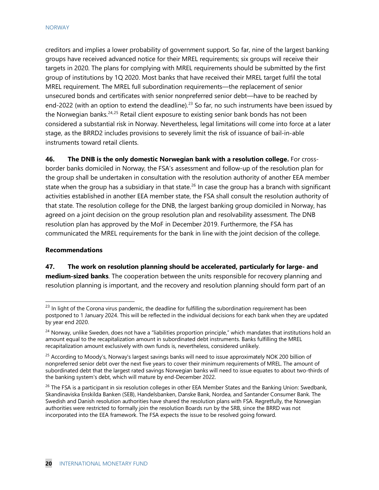creditors and implies a lower probability of government support. So far, nine of the largest banking groups have received advanced notice for their MREL requirements; six groups will receive their targets in 2020. The plans for complying with MREL requirements should be submitted by the first group of institutions by 1Q 2020. Most banks that have received their MREL target fulfil the total MREL requirement. The MREL full subordination requirements—the replacement of senior unsecured bonds and certificates with senior nonpreferred senior debt—have to be reached by end-2022 (with an option to extend the deadline).<sup>[23](#page-20-0)</sup> So far, no such instruments have been issued by the Norwegian banks.<sup>[24,](#page-20-1)[25](#page-20-2)</sup> Retail client exposure to existing senior bank bonds has not been considered a substantial risk in Norway. Nevertheless, legal limitations will come into force at a later stage, as the BRRD2 includes provisions to severely limit the risk of issuance of bail-in-able instruments toward retail clients.

**46. The DNB is the only domestic Norwegian bank with a resolution college.** For crossborder banks domiciled in Norway, the FSA's assessment and follow-up of the resolution plan for the group shall be undertaken in consultation with the resolution authority of another EEA member state when the group has a subsidiary in that state.<sup>[26](#page-20-3)</sup> In case the group has a branch with significant activities established in another EEA member state, the FSA shall consult the resolution authority of that state. The resolution college for the DNB, the largest banking group domiciled in Norway, has agreed on a joint decision on the group resolution plan and resolvability assessment. The DNB resolution plan has approved by the MoF in December 2019. Furthermore, the FSA has communicated the MREL requirements for the bank in line with the joint decision of the college.

#### **Recommendations**

**47. The work on resolution planning should be accelerated, particularly for large- and medium-sized banks**. The cooperation between the units responsible for recovery planning and resolution planning is important, and the recovery and resolution planning should form part of an

<span id="page-20-0"></span><sup>&</sup>lt;sup>23</sup> In light of the Corona virus pandemic, the deadline for fulfilling the subordination requirement has been postponed to 1 January 2024. This will be reflected in the individual decisions for each bank when they are updated by year end 2020.

<span id="page-20-1"></span><sup>&</sup>lt;sup>24</sup> Norway, unlike Sweden, does not have a "liabilities proportion principle," which mandates that institutions hold an amount equal to the recapitalization amount in subordinated debt instruments. Banks fulfilling the MREL recapitalization amount exclusively with own funds is, nevertheless, considered unlikely.

<span id="page-20-2"></span><sup>&</sup>lt;sup>25</sup> According to Moody's, Norway's largest savings banks will need to issue approximately NOK 200 billion of nonpreferred senior debt over the next five years to cover their minimum requirements of MREL. The amount of subordinated debt that the largest rated savings Norwegian banks will need to issue equates to about two-thirds of the banking system's debt, which will mature by end-December 2022.

<span id="page-20-3"></span><sup>&</sup>lt;sup>26</sup> The FSA is a participant in six resolution colleges in other EEA Member States and the Banking Union: Swedbank, Skandinaviska Enskilda Banken (SEB), Handelsbanken, Danske Bank, Nordea, and Santander Consumer Bank. The Swedish and Danish resolution authorities have shared the resolution plans with FSA. Regretfully, the Norwegian authorities were restricted to formally join the resolution Boards run by the SRB, since the BRRD was not incorporated into the EEA framework. The FSA expects the issue to be resolved going forward.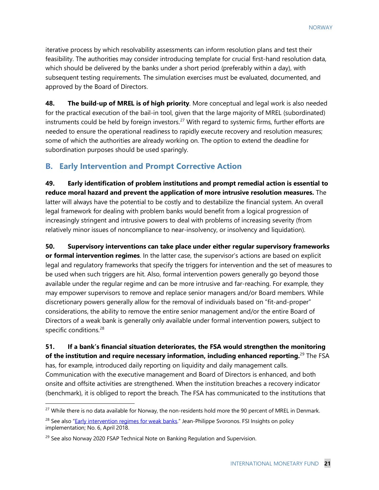iterative process by which resolvability assessments can inform resolution plans and test their feasibility. The authorities may consider introducing template for crucial first-hand resolution data, which should be delivered by the banks under a short period (preferably within a day), with subsequent testing requirements. The simulation exercises must be evaluated, documented, and approved by the Board of Directors.

**48. The build-up of MREL is of high priority**. More conceptual and legal work is also needed for the practical execution of the bail-in tool, given that the large majority of MREL (subordinated) instruments could be held by foreign investors.<sup>[27](#page-21-0)</sup> With regard to systemic firms, further efforts are needed to ensure the operational readiness to rapidly execute recovery and resolution measures; some of which the authorities are already working on. The option to extend the deadline for subordination purposes should be used sparingly.

# **B. Early Intervention and Prompt Corrective Action**

**49. Early identification of problem institutions and prompt remedial action is essential to reduce moral hazard and prevent the application of more intrusive resolution measures.** The latter will always have the potential to be costly and to destabilize the financial system. An overall legal framework for dealing with problem banks would benefit from a logical progression of increasingly stringent and intrusive powers to deal with problems of increasing severity (from relatively minor issues of noncompliance to near-insolvency, or insolvency and liquidation).

**50. Supervisory interventions can take place under either regular supervisory frameworks or formal intervention regimes**. In the latter case, the supervisor's actions are based on explicit legal and regulatory frameworks that specify the triggers for intervention and the set of measures to be used when such triggers are hit. Also, formal intervention powers generally go beyond those available under the regular regime and can be more intrusive and far-reaching. For example, they may empower supervisors to remove and replace senior managers and/or Board members. While discretionary powers generally allow for the removal of individuals based on "fit-and-proper" considerations, the ability to remove the entire senior management and/or the entire Board of Directors of a weak bank is generally only available under formal intervention powers, subject to specific conditions.<sup>[28](#page-21-1)</sup>

# **51. If a bank's financial situation deteriorates, the FSA would strengthen the monitoring of the institution and require necessary information, including enhanced reporting.** [29](#page-21-2) The FSA

has, for example, introduced daily reporting on liquidity and daily management calls. Communication with the executive management and Board of Directors is enhanced, and both onsite and offsite activities are strengthened. When the institution breaches a recovery indicator (benchmark), it is obliged to report the breach. The FSA has communicated to the institutions that

<span id="page-21-0"></span><sup>&</sup>lt;sup>27</sup> While there is no data available for Norway, the non-residents hold more the 90 percent of MREL in Denmark.

<span id="page-21-1"></span><sup>&</sup>lt;sup>28</sup> See also ["Early intervention regimes for weak banks.](https://www.bis.org/fsi/publ/insights6.pdf)" Jean-Philippe Svoronos. FSI Insights on policy implementation; No. 6, April 2018.

<span id="page-21-2"></span><sup>&</sup>lt;sup>29</sup> See also Norway 2020 FSAP Technical Note on Banking Regulation and Supervision.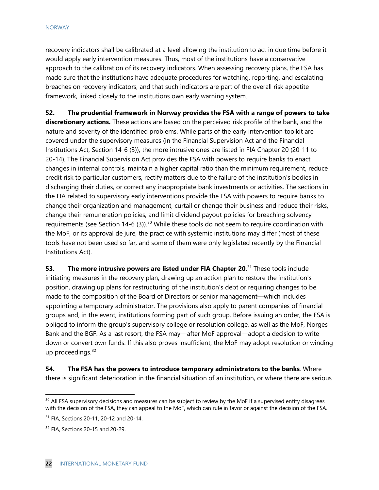recovery indicators shall be calibrated at a level allowing the institution to act in due time before it would apply early intervention measures. Thus, most of the institutions have a conservative approach to the calibration of its recovery indicators. When assessing recovery plans, the FSA has made sure that the institutions have adequate procedures for watching, reporting, and escalating breaches on recovery indicators, and that such indicators are part of the overall risk appetite framework, linked closely to the institutions own early warning system.

**52. The prudential framework in Norway provides the FSA with a range of powers to take discretionary actions.** These actions are based on the perceived risk profile of the bank, and the nature and severity of the identified problems. While parts of the early intervention toolkit are covered under the supervisory measures (in the Financial Supervision Act and the Financial Institutions Act, Section 14-6 (3)), the more intrusive ones are listed in FIA Chapter 20 (20-11 to 20-14). The Financial Supervision Act provides the FSA with powers to require banks to enact changes in internal controls, maintain a higher capital ratio than the minimum requirement, reduce credit risk to particular customers, rectify matters due to the failure of the institution's bodies in discharging their duties, or correct any inappropriate bank investments or activities. The sections in the FIA related to supervisory early interventions provide the FSA with powers to require banks to change their organization and management, curtail or change their business and reduce their risks, change their remuneration policies, and limit dividend payout policies for breaching solvency requirements (see Section 14-6 (3)).<sup>[30](#page-22-0)</sup> While these tools do not seem to require coordination with the MoF, or its approval de jure, the practice with systemic institutions may differ (most of these tools have not been used so far, and some of them were only legislated recently by the Financial Institutions Act).

**53.** The more intrusive powers are listed under FIA Chapter 20.<sup>[31](#page-22-1)</sup> These tools include initiating measures in the recovery plan, drawing up an action plan to restore the institution's position, drawing up plans for restructuring of the institution's debt or requiring changes to be made to the composition of the Board of Directors or senior management—which includes appointing a temporary administrator. The provisions also apply to parent companies of financial groups and, in the event, institutions forming part of such group. Before issuing an order, the FSA is obliged to inform the group's supervisory college or resolution college, as well as the MoF, Norges Bank and the BGF. As a last resort, the FSA may—after MoF approval—adopt a decision to write down or convert own funds. If this also proves insufficient, the MoF may adopt resolution or winding up proceedings. [32](#page-22-2)

**54. The FSA has the powers to introduce temporary administrators to the banks**. Where there is significant deterioration in the financial situation of an institution, or where there are serious

<span id="page-22-0"></span><sup>&</sup>lt;sup>30</sup> All FSA supervisory decisions and measures can be subject to review by the MoF if a supervised entity disagrees with the decision of the FSA, they can appeal to the MoF, which can rule in favor or against the decision of the FSA.

<span id="page-22-1"></span><sup>31</sup> FIA, Sections 20-11, 20-12 and 20-14.

<span id="page-22-2"></span><sup>32</sup> FIA, Sections 20-15 and 20-29.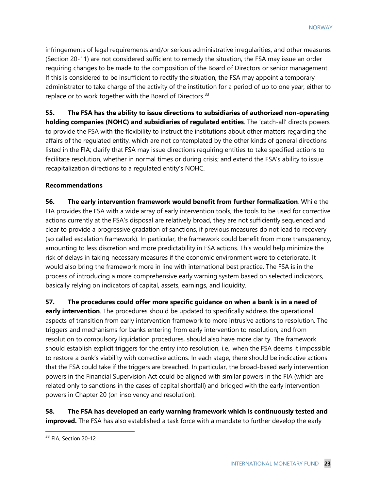infringements of legal requirements and/or serious administrative irregularities, and other measures (Section 20-11) are not considered sufficient to remedy the situation, the FSA may issue an order requiring changes to be made to the composition of the Board of Directors or senior management. If this is considered to be insufficient to rectify the situation, the FSA may appoint a temporary administrator to take charge of the activity of the institution for a period of up to one year, either to replace or to work together with the Board of Directors.<sup>[33](#page-23-0)</sup>

**55. The FSA has the ability to issue directions to subsidiaries of authorized non-operating holding companies (NOHC) and subsidiaries of regulated entities**. The 'catch-all' directs powers to provide the FSA with the flexibility to instruct the institutions about other matters regarding the affairs of the regulated entity, which are not contemplated by the other kinds of general directions listed in the FIA; clarify that FSA may issue directions requiring entities to take specified actions to facilitate resolution, whether in normal times or during crisis; and extend the FSA's ability to issue recapitalization directions to a regulated entity's NOHC.

#### **Recommendations**

**56. The early intervention framework would benefit from further formalization***.* While the FIA provides the FSA with a wide array of early intervention tools, the tools to be used for corrective actions currently at the FSA's disposal are relatively broad, they are not sufficiently sequenced and clear to provide a progressive gradation of sanctions, if previous measures do not lead to recovery (so called escalation framework). In particular, the framework could benefit from more transparency, amounting to less discretion and more predictability in FSA actions. This would help minimize the risk of delays in taking necessary measures if the economic environment were to deteriorate. It would also bring the framework more in line with international best practice. The FSA is in the process of introducing a more comprehensive early warning system based on selected indicators, basically relying on indicators of capital, assets, earnings, and liquidity.

**57. The procedures could offer more specific guidance on when a bank is in a need of early intervention**. The procedures should be updated to specifically address the operational aspects of transition from early intervention framework to more intrusive actions to resolution. The triggers and mechanisms for banks entering from early intervention to resolution, and from resolution to compulsory liquidation procedures, should also have more clarity. The framework should establish explicit triggers for the entry into resolution, i.e., when the FSA deems it impossible to restore a bank's viability with corrective actions. In each stage, there should be indicative actions that the FSA could take if the triggers are breached. In particular, the broad-based early intervention powers in the Financial Supervision Act could be aligned with similar powers in the FIA (which are related only to sanctions in the cases of capital shortfall) and bridged with the early intervention powers in Chapter 20 (on insolvency and resolution).

**58. The FSA has developed an early warning framework which is continuously tested and improved.** The FSA has also established a task force with a mandate to further develop the early

<span id="page-23-0"></span><sup>&</sup>lt;sup>33</sup> FIA, Section 20-12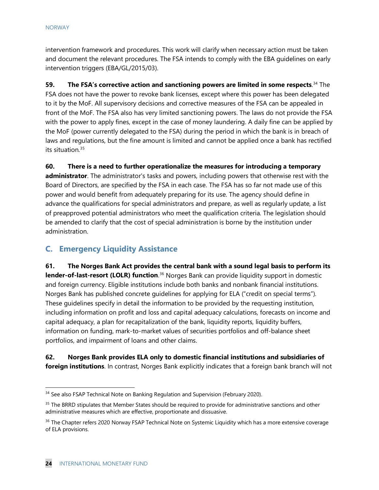intervention framework and procedures. This work will clarify when necessary action must be taken and document the relevant procedures. The FSA intends to comply with the EBA guidelines on early intervention triggers (EBA/GL/2015/03).

**59. The FSA's corrective action and sanctioning powers are limited in some respects**. [34](#page-24-0) The FSA does not have the power to revoke bank licenses, except where this power has been delegated to it by the MoF. All supervisory decisions and corrective measures of the FSA can be appealed in front of the MoF. The FSA also has very limited sanctioning powers. The laws do not provide the FSA with the power to apply fines, except in the case of money laundering. A daily fine can be applied by the MoF (power currently delegated to the FSA) during the period in which the bank is in breach of laws and regulations, but the fine amount is limited and cannot be applied once a bank has rectified its situation.<sup>[35](#page-24-1)</sup>

**60. There is a need to further operationalize the measures for introducing a temporary administrator**. The administrator's tasks and powers, including powers that otherwise rest with the Board of Directors, are specified by the FSA in each case. The FSA has so far not made use of this power and would benefit from adequately preparing for its use. The agency should define in advance the qualifications for special administrators and prepare, as well as regularly update, a list of preapproved potential administrators who meet the qualification criteria. The legislation should be amended to clarify that the cost of special administration is borne by the institution under administration.

# **C. Emergency Liquidity Assistance**

**61. The Norges Bank Act provides the central bank with a sound legal basis to perform its lender-of-last-resort (LOLR) function**.<sup>[36](#page-24-2)</sup> Norges Bank can provide liquidity support in domestic and foreign currency. Eligible institutions include both banks and nonbank financial institutions. Norges Bank has published concrete guidelines for applying for ELA ("credit on special terms"). These guidelines specify in detail the information to be provided by the requesting institution, including information on profit and loss and capital adequacy calculations, forecasts on income and capital adequacy, a plan for recapitalization of the bank, liquidity reports, liquidity buffers, information on funding, mark-to-market values of securities portfolios and off-balance sheet portfolios, and impairment of loans and other claims.

## **62. Norges Bank provides ELA only to domestic financial institutions and subsidiaries of foreign institutions**. In contrast, Norges Bank explicitly indicates that a foreign bank branch will not

<span id="page-24-0"></span><sup>&</sup>lt;sup>34</sup> See also FSAP Technical Note on Banking Regulation and Supervision (February 2020).

<span id="page-24-1"></span><sup>&</sup>lt;sup>35</sup> The BRRD stipulates that Member States should be required to provide for administrative sanctions and other administrative measures which are effective, proportionate and dissuasive.

<span id="page-24-2"></span><sup>&</sup>lt;sup>36</sup> The Chapter refers 2020 Norway FSAP Technical Note on Systemic Liquidity which has a more extensive coverage of ELA provisions.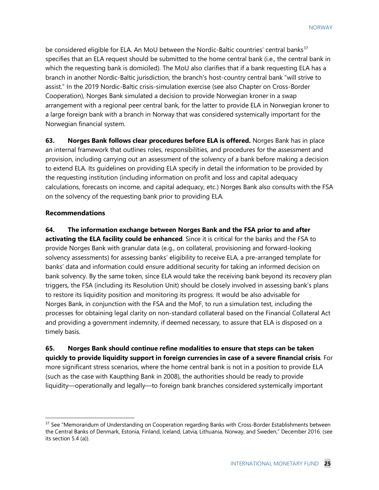be considered eligible for ELA. An MoU between the Nordic-Baltic countries' central banks $37$ specifies that an ELA request should be submitted to the home central bank (i.e., the central bank in which the requesting bank is domiciled). The MoU also clarifies that if a bank requesting ELA has a branch in another Nordic-Baltic jurisdiction, the branch's host-country central bank "will strive to assist." In the 2019 Nordic-Baltic crisis-simulation exercise (see also Chapter on Cross-Border Cooperation), Norges Bank simulated a decision to provide Norwegian kroner in a swap arrangement with a regional peer central bank, for the latter to provide ELA in Norwegian kroner to a large foreign bank with a branch in Norway that was considered systemically important for the Norwegian financial system.

**63. Norges Bank follows clear procedures before ELA is offered.** Norges Bank has in place an internal framework that outlines roles, responsibilities, and procedures for the assessment and provision, including carrying out an assessment of the solvency of a bank before making a decision to extend ELA. Its guidelines on providing ELA specify in detail the information to be provided by the requesting institution (including information on profit and loss and capital adequacy calculations, forecasts on income, and capital adequacy, etc.) Norges Bank also consults with the FSA on the solvency of the requesting bank prior to providing ELA.

### **Recommendations**

**64. The information exchange between Norges Bank and the FSA prior to and after activating the ELA facility could be enhanced**. Since it is critical for the banks and the FSA to provide Norges Bank with granular data (e.g., on collateral, provisioning and forward-looking solvency assessments) for assessing banks' eligibility to receive ELA, a pre-arranged template for banks' data and information could ensure additional security for taking an informed decision on bank solvency. By the same token, since ELA would take the receiving bank beyond its recovery plan triggers, the FSA (including its Resolution Unit) should be closely involved in assessing bank's plans to restore its liquidity position and monitoring its progress. It would be also advisable for Norges Bank, in conjunction with the FSA and the MoF, to run a simulation test, including the processes for obtaining legal clarity on non-standard collateral based on the Financial Collateral Act and providing a government indemnity, if deemed necessary, to assure that ELA is disposed on a timely basis.

**65. Norges Bank should continue refine modalities to ensure that steps can be taken quickly to provide liquidity support in foreign currencies in case of a severe financial crisis**. For more significant stress scenarios, where the home central bank is not in a position to provide ELA (such as the case with Kaupthing Bank in 2008), the authorities should be ready to provide liquidity—operationally and legally—to foreign bank branches considered systemically important

<span id="page-25-0"></span><sup>&</sup>lt;sup>37</sup> See "Memorandum of Understanding on Cooperation regarding Banks with Cross-Border Establishments between the Central Banks of Denmark, Estonia, Finland, Iceland, Latvia, Lithuania, Norway, and Sweden," December 2016. (see its section 5.4 (a)).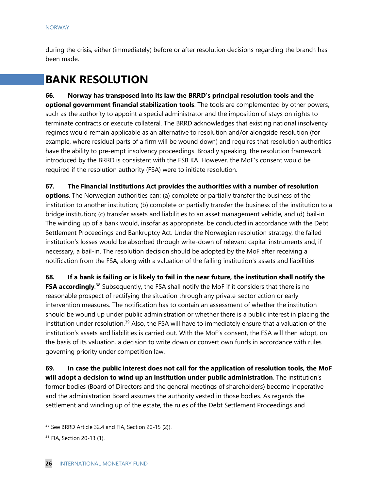during the crisis, either (immediately) before or after resolution decisions regarding the branch has been made.

# **BANK RESOLUTION**

**66. Norway has transposed into its law the BRRD's principal resolution tools and the optional government financial stabilization tools**. The tools are complemented by other powers, such as the authority to appoint a special administrator and the imposition of stays on rights to terminate contracts or execute collateral. The BRRD acknowledges that existing national insolvency regimes would remain applicable as an alternative to resolution and/or alongside resolution (for example, where residual parts of a firm will be wound down) and requires that resolution authorities have the ability to pre-empt insolvency proceedings. Broadly speaking, the resolution framework introduced by the BRRD is consistent with the FSB KA. However, the MoF's consent would be required if the resolution authority (FSA) were to initiate resolution.

**67. The Financial Institutions Act provides the authorities with a number of resolution options**. The Norwegian authorities can: (a) complete or partially transfer the business of the institution to another institution; (b) complete or partially transfer the business of the institution to a bridge institution; (c) transfer assets and liabilities to an asset management vehicle, and (d) bail-in. The winding up of a bank would, insofar as appropriate, be conducted in accordance with the Debt Settlement Proceedings and Bankruptcy Act. Under the Norwegian resolution strategy, the failed institution's losses would be absorbed through write-down of relevant capital instruments and, if necessary, a bail-in. The resolution decision should be adopted by the MoF after receiving a notification from the FSA, along with a valuation of the failing institution's assets and liabilities

**68. If a bank is failing or is likely to fail in the near future, the institution shall notify the FSA accordingly.**<sup>[38](#page-26-0)</sup> Subsequently, the FSA shall notify the MoF if it considers that there is no reasonable prospect of rectifying the situation through any private-sector action or early intervention measures. The notification has to contain an assessment of whether the institution should be wound up under public administration or whether there is a public interest in placing the institution under resolution.<sup>[39](#page-26-1)</sup> Also, the FSA will have to immediately ensure that a valuation of the institution's assets and liabilities is carried out. With the MoF's consent, the FSA will then adopt, on the basis of its valuation, a decision to write down or convert own funds in accordance with rules governing priority under competition law.

**69. In case the public interest does not call for the application of resolution tools, the MoF will adopt a decision to wind up an institution under public administration***.* The institution's former bodies (Board of Directors and the general meetings of shareholders) become inoperative and the administration Board assumes the authority vested in those bodies. As regards the settlement and winding up of the estate, the rules of the Debt Settlement Proceedings and

<span id="page-26-0"></span><sup>&</sup>lt;sup>38</sup> See BRRD Article 32.4 and FIA, Section 20-15 (2)).

<span id="page-26-1"></span><sup>&</sup>lt;sup>39</sup> FIA, Section 20-13 (1).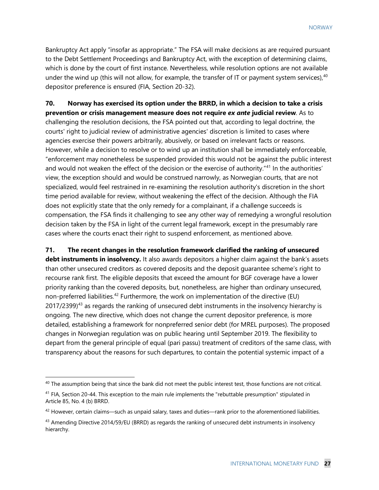Bankruptcy Act apply "insofar as appropriate." The FSA will make decisions as are required pursuant to the Debt Settlement Proceedings and Bankruptcy Act, with the exception of determining claims, which is done by the court of first instance. Nevertheless, while resolution options are not available under the wind up (this will not allow, for example, the transfer of IT or payment system services),<sup>[40](#page-27-0)</sup> depositor preference is ensured (FIA, Section 20-32).

**70. Norway has exercised its option under the BRRD, in which a decision to take a crisis prevention or crisis management measure does not require** *ex ante* **judicial review**. As to challenging the resolution decisions, the FSA pointed out that, according to legal doctrine, the courts' right to judicial review of administrative agencies' discretion is limited to cases where agencies exercise their powers arbitrarily, abusively, or based on irrelevant facts or reasons. However, while a decision to resolve or to wind up an institution shall be immediately enforceable, "enforcement may nonetheless be suspended provided this would not be against the public interest and would not weaken the effect of the decision or the exercise of authority."<sup>[41](#page-27-1)</sup> In the authorities' view, the exception should and would be construed narrowly, as Norwegian courts, that are not specialized, would feel restrained in re-examining the resolution authority's discretion in the short time period available for review, without weakening the effect of the decision. Although the FIA does not explicitly state that the only remedy for a complainant, if a challenge succeeds is compensation, the FSA finds it challenging to see any other way of remedying a wrongful resolution decision taken by the FSA in light of the current legal framework, except in the presumably rare cases where the courts enact their right to suspend enforcement, as mentioned above.

**71. The recent changes in the resolution framework clarified the ranking of unsecured debt instruments in insolvency.** It also awards depositors a higher claim against the bank's assets than other unsecured creditors as covered deposits and the deposit guarantee scheme's right to recourse rank first. The eligible deposits that exceed the amount for BGF coverage have a lower priority ranking than the covered deposits, but, nonetheless, are higher than ordinary unsecured, non-preferred liabilities.<sup>[42](#page-27-2)</sup> Furthermore, the work on implementation of the directive (EU)  $2017/2399)^{43}$  $2017/2399)^{43}$  $2017/2399)^{43}$  as regards the ranking of unsecured debt instruments in the insolvency hierarchy is ongoing. The new directive, which does not change the current depositor preference, is more detailed, establishing a framework for nonpreferred senior debt (for MREL purposes). The proposed changes in Norwegian regulation was on public hearing until September 2019. The flexibility to depart from the general principle of equal (pari passu) treatment of creditors of the same class, with transparency about the reasons for such departures, to contain the potential systemic impact of a

<span id="page-27-0"></span> $40$  The assumption being that since the bank did not meet the public interest test, those functions are not critical.

<span id="page-27-1"></span> $41$  FIA, Section 20-44. This exception to the main rule implements the "rebuttable presumption" stipulated in Article 85, No. 4 (b) BRRD.

<span id="page-27-2"></span> $42$  However, certain claims—such as unpaid salary, taxes and duties—rank prior to the aforementioned liabilities.

<span id="page-27-3"></span><sup>43</sup> Amending Directive 2014/59/EU (BRRD) as regards the ranking of unsecured debt instruments in insolvency hierarchy.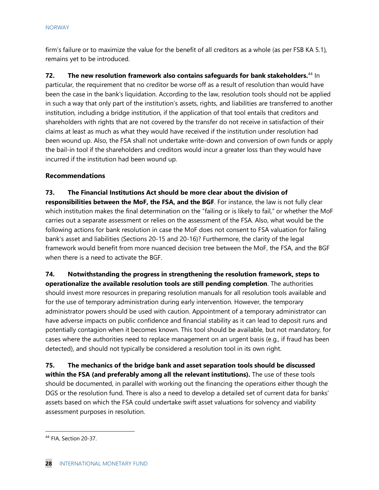firm's failure or to maximize the value for the benefit of all creditors as a whole (as per FSB KA 5.1), remains yet to be introduced.

**72.** The new resolution framework also contains safeguards for bank stakeholders.<sup>[44](#page-28-0)</sup> In particular, the requirement that no creditor be worse off as a result of resolution than would have been the case in the bank's liquidation. According to the law, resolution tools should not be applied in such a way that only part of the institution's assets, rights, and liabilities are transferred to another institution, including a bridge institution, if the application of that tool entails that creditors and shareholders with rights that are not covered by the transfer do not receive in satisfaction of their claims at least as much as what they would have received if the institution under resolution had been wound up. Also, the FSA shall not undertake write-down and conversion of own funds or apply the bail-in tool if the shareholders and creditors would incur a greater loss than they would have incurred if the institution had been wound up.

## **Recommendations**

**73. The Financial Institutions Act should be more clear about the division of** 

**responsibilities between the MoF, the FSA, and the BGF**. For instance, the law is not fully clear which institution makes the final determination on the "failing or is likely to fail," or whether the MoF carries out a separate assessment or relies on the assessment of the FSA. Also, what would be the following actions for bank resolution in case the MoF does not consent to FSA valuation for failing bank's asset and liabilities (Sections 20-15 and 20-16)? Furthermore, the clarity of the legal framework would benefit from more nuanced decision tree between the MoF, the FSA, and the BGF when there is a need to activate the BGF.

# **74. Notwithstanding the progress in strengthening the resolution framework, steps to**

**operationalize the available resolution tools are still pending completion**. The authorities should invest more resources in preparing resolution manuals for all resolution tools available and for the use of temporary administration during early intervention. However, the temporary administrator powers should be used with caution. Appointment of a temporary administrator can have adverse impacts on public confidence and financial stability as it can lead to deposit runs and potentially contagion when it becomes known. This tool should be available, but not mandatory, for cases where the authorities need to replace management on an urgent basis (e.g., if fraud has been detected), and should not typically be considered a resolution tool in its own right.

**75. The mechanics of the bridge bank and asset separation tools should be discussed within the FSA (and preferably among all the relevant institutions).** The use of these tools should be documented, in parallel with working out the financing the operations either though the DGS or the resolution fund. There is also a need to develop a detailed set of current data for banks' assets based on which the FSA could undertake swift asset valuations for solvency and viability assessment purposes in resolution.

<span id="page-28-0"></span><sup>44</sup> FIA, Section 20-37.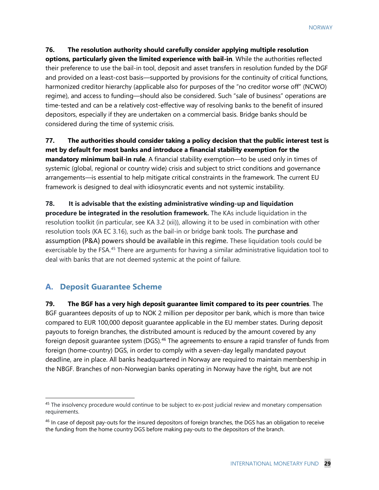## **76. The resolution authority should carefully consider applying multiple resolution**

**options, particularly given the limited experience with bail-in**. While the authorities reflected their preference to use the bail-in tool, deposit and asset transfers in resolution funded by the DGF and provided on a least-cost basis—supported by provisions for the continuity of critical functions, harmonized creditor hierarchy (applicable also for purposes of the "no creditor worse off" (NCWO) regime), and access to funding—should also be considered. Such "sale of business" operations are time-tested and can be a relatively cost-effective way of resolving banks to the benefit of insured depositors, especially if they are undertaken on a commercial basis. Bridge banks should be considered during the time of systemic crisis.

**77. The authorities should consider taking a policy decision that the public interest test is met by default for most banks and introduce a financial stability exemption for the mandatory minimum bail-in rule**. A financial stability exemption—to be used only in times of systemic (global, regional or country wide) crisis and subject to strict conditions and governance arrangements—is essential to help mitigate critical constraints in the framework. The current EU framework is designed to deal with idiosyncratic events and not systemic instability.

**78. It is advisable that the existing administrative winding-up and liquidation procedure be integrated in the resolution framework.** The KAs include liquidation in the resolution toolkit (in particular, see KA 3.2 (xii)), allowing it to be used in combination with other resolution tools (KA EC 3.16), such as the bail-in or bridge bank tools. The purchase and assumption (P&A) powers should be available in this regime. These liquidation tools could be exercisable by the FSA.<sup>[45](#page-29-0)</sup> There are arguments for having a similar administrative liquidation tool to deal with banks that are not deemed systemic at the point of failure.

## **A. Deposit Guarantee Scheme**

**79. The BGF has a very high deposit guarantee limit compared to its peer countries**. The BGF guarantees deposits of up to NOK 2 million per depositor per bank, which is more than twice compared to EUR 100,000 deposit guarantee applicable in the EU member states. During deposit payouts to foreign branches, the distributed amount is reduced by the amount covered by any foreign deposit guarantee system (DGS).<sup>[46](#page-29-1)</sup> The agreements to ensure a rapid transfer of funds from foreign (home-country) DGS, in order to comply with a seven-day legally mandated payout deadline, are in place. All banks headquartered in Norway are required to maintain membership in the NBGF. Branches of non-Norwegian banks operating in Norway have the right, but are not

<span id="page-29-0"></span><sup>&</sup>lt;sup>45</sup> The insolvency procedure would continue to be subject to ex-post judicial review and monetary compensation requirements.

<span id="page-29-1"></span><sup>&</sup>lt;sup>46</sup> In case of deposit pay-outs for the insured depositors of foreign branches, the DGS has an obligation to receive the funding from the home country DGS before making pay-outs to the depositors of the branch.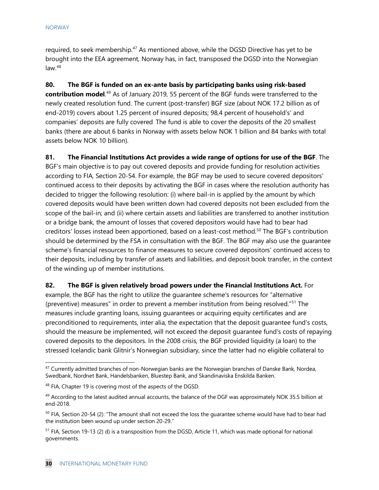required, to seek membership. $47$  As mentioned above, while the DGSD Directive has yet to be brought into the EEA agreement, Norway has, in fact, transposed the DGSD into the Norwegian  $law.<sup>48</sup>$  $law.<sup>48</sup>$  $law.<sup>48</sup>$ 

**80. The BGF is funded on an ex-ante basis by participating banks using risk-based contribution model**. [49](#page-30-2) As of January 2019, 55 percent of the BGF funds were transferred to the newly created resolution fund. The current (post-transfer) BGF size (about NOK 17.2 billion as of end-2019) covers about 1.25 percent of insured deposits; 98,4 percent of household's' and companies' deposits are fully covered The fund is able to cover the deposits of the 20 smallest banks (there are about 6 banks in Norway with assets below NOK 1 billion and 84 banks with total assets below NOK 10 billion).

**81. The Financial Institutions Act provides a wide range of options for use of the BGF**. The BGF's main objective is to pay out covered deposits and provide funding for resolution activities according to FIA, Section 20-54. For example, the BGF may be used to secure covered depositors' continued access to their deposits by activating the BGF in cases where the resolution authority has decided to trigger the following resolution: (i) where bail-in is applied by the amount by which covered deposits would have been written down had covered deposits not been excluded from the scope of the bail-in; and (ii) where certain assets and liabilities are transferred to another institution or a bridge bank, the amount of losses that covered depositors would have had to bear had creditors' losses instead been apportioned, based on a least-cost method.<sup>[50](#page-30-3)</sup> The BGF's contribution should be determined by the FSA in consultation with the BGF. The BGF may also use the guarantee scheme's financial resources to finance measures to secure covered depositors' continued access to their deposits, including by transfer of assets and liabilities, and deposit book transfer, in the context of the winding up of member institutions.

**82. The BGF is given relatively broad powers under the Financial Institutions Act.** For example, the BGF has the right to utilize the guarantee scheme's resources for "alternative (preventive) measures" in order to prevent a member institution from being resolved.["51](#page-30-4) The measures include granting loans, issuing guarantees or acquiring equity certificates and are preconditioned to requirements, inter alia, the expectation that the deposit guarantee fund's costs, should the measure be implemented, will not exceed the deposit guarantee fund's costs of repaying covered deposits to the depositors. In the 2008 crisis, the BGF provided liquidity (a loan) to the

stressed Icelandic bank Glitnir's Norwegian subsidiary, since the latter had no eligible collateral to

<span id="page-30-0"></span><sup>&</sup>lt;sup>47</sup> Currently admitted branches of non-Norwegian banks are the Norwegian branches of Danske Bank, Nordea, Swedbank, Nordnet Bank, Handelsbanken, Bluestep Bank, and Skandinaviska Enskilda Banken.

<span id="page-30-1"></span><sup>&</sup>lt;sup>48</sup> FIA, Chapter 19 is covering most of the aspects of the DGSD.

<span id="page-30-2"></span> $49$  According to the latest audited annual accounts, the balance of the DGF was approximately NOK 35.5 billion at end-2018.

<span id="page-30-3"></span> $50$  FIA, Section 20-54 (2): "The amount shall not exceed the loss the guarantee scheme would have had to bear had the institution been wound up under section 20-29."

<span id="page-30-4"></span> $<sup>51</sup>$  FIA, Section 19-13 (2) d) is a transposition from the DGSD, Article 11, which was made optional for national</sup> governments.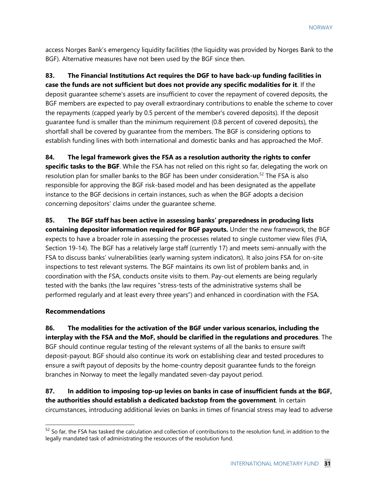access Norges Bank's emergency liquidity facilities (the liquidity was provided by Norges Bank to the BGF). Alternative measures have not been used by the BGF since then.

# **83. The Financial Institutions Act requires the DGF to have back-up funding facilities in**

**case the funds are not sufficient but does not provide any specific modalities for it**. If the deposit guarantee scheme's assets are insufficient to cover the repayment of covered deposits, the BGF members are expected to pay overall extraordinary contributions to enable the scheme to cover the repayments (capped yearly by 0.5 percent of the member's covered deposits). If the deposit guarantee fund is smaller than the minimum requirement (0.8 percent of covered deposits), the shortfall shall be covered by guarantee from the members. The BGF is considering options to establish funding lines with both international and domestic banks and has approached the MoF.

### **84. The legal framework gives the FSA as a resolution authority the rights to confer**

**specific tasks to the BGF**. While the FSA has not relied on this right so far, delegating the work on resolution plan for smaller banks to the BGF has been under consideration. [52](#page-31-0) The FSA is also responsible for approving the BGF risk-based model and has been designated as the appellate instance to the BGF decisions in certain instances, such as when the BGF adopts a decision concerning depositors' claims under the guarantee scheme.

**85. The BGF staff has been active in assessing banks' preparedness in producing lists containing depositor information required for BGF payouts.** Under the new framework, the BGF expects to have a broader role in assessing the processes related to single customer view files (FIA, Section 19-14). The BGF has a relatively large staff (currently 17) and meets semi-annually with the FSA to discuss banks' vulnerabilities (early warning system indicators). It also joins FSA for on-site inspections to test relevant systems. The BGF maintains its own list of problem banks and, in coordination with the FSA, conducts onsite visits to them. Pay-out elements are being regularly tested with the banks (the law requires "stress-tests of the administrative systems shall be performed regularly and at least every three years") and enhanced in coordination with the FSA.

## **Recommendations**

**86. The modalities for the activation of the BGF under various scenarios, including the interplay with the FSA and the MoF, should be clarified in the regulations and procedures**. The BGF should continue regular testing of the relevant systems of all the banks to ensure swift deposit-payout. BGF should also continue its work on establishing clear and tested procedures to ensure a swift payout of deposits by the home-country deposit guarantee funds to the foreign branches in Norway to meet the legally mandated seven-day payout period.

**87. In addition to imposing top-up levies on banks in case of insufficient funds at the BGF, the authorities should establish a dedicated backstop from the government**. In certain circumstances, introducing additional levies on banks in times of financial stress may lead to adverse

<span id="page-31-0"></span> $52$  So far, the FSA has tasked the calculation and collection of contributions to the resolution fund, in addition to the legally mandated task of administrating the resources of the resolution fund.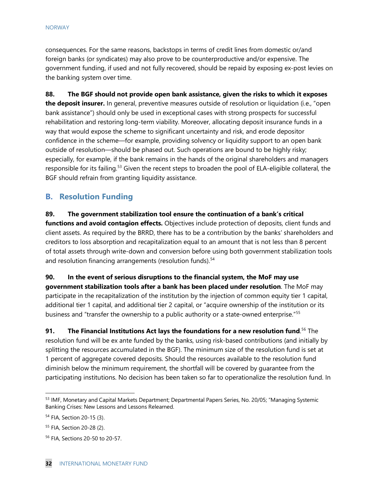consequences. For the same reasons, backstops in terms of credit lines from domestic or/and foreign banks (or syndicates) may also prove to be counterproductive and/or expensive. The government funding, if used and not fully recovered, should be repaid by exposing ex-post levies on the banking system over time.

**88. The BGF should not provide open bank assistance, given the risks to which it exposes the deposit insurer.** In general, preventive measures outside of resolution or liquidation (i.e., "open bank assistance") should only be used in exceptional cases with strong prospects for successful rehabilitation and restoring long-term viability. Moreover, allocating deposit insurance funds in a way that would expose the scheme to significant uncertainty and risk, and erode depositor confidence in the scheme—for example, providing solvency or liquidity support to an open bank outside of resolution—should be phased out. Such operations are bound to be highly risky; especially, for example, if the bank remains in the hands of the original shareholders and managers responsible for its failing.<sup>[53](#page-32-0)</sup> Given the recent steps to broaden the pool of ELA-eligible collateral, the BGF should refrain from granting liquidity assistance.

# **B. Resolution Funding**

**89. The government stabilization tool ensure the continuation of a bank's critical functions and avoid contagion effects.** Objectives include protection of deposits, client funds and client assets. As required by the BRRD, there has to be a contribution by the banks' shareholders and creditors to loss absorption and recapitalization equal to an amount that is not less than 8 percent of total assets through write-down and conversion before using both government stabilization tools and resolution financing arrangements (resolution funds).<sup>[54](#page-32-1)</sup>

**90. In the event of serious disruptions to the financial system, the MoF may use government stabilization tools after a bank has been placed under resolution**. The MoF may participate in the recapitalization of the institution by the injection of common equity tier 1 capital, additional tier 1 capital, and additional tier 2 capital, or "acquire ownership of the institution or its business and "transfer the ownership to a public authority or a state-owned enterprise."<sup>[55](#page-32-2)</sup>

**91. The Financial Institutions Act lays the foundations for a new resolution fund.<sup>[56](#page-32-3)</sup> The** resolution fund will be ex ante funded by the banks, using risk-based contributions (and initially by splitting the resources accumulated in the BGF). The minimum size of the resolution fund is set at 1 percent of aggregate covered deposits. Should the resources available to the resolution fund diminish below the minimum requirement, the shortfall will be covered by guarantee from the participating institutions. No decision has been taken so far to operationalize the resolution fund. In

<span id="page-32-0"></span><sup>53</sup> IMF, Monetary and Capital Markets Department; Departmental Papers Series, No. 20/05; "Managing Systemic Banking Crises: New Lessons and Lessons Relearned.

<span id="page-32-1"></span><sup>54</sup> FIA, Section 20-15 (3).

<span id="page-32-2"></span><sup>55</sup> FIA, Section 20-28 (2).

<span id="page-32-3"></span><sup>56</sup> FIA, Sections 20-50 to 20-57.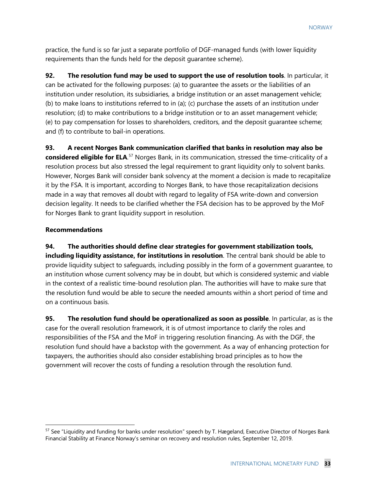practice, the fund is so far just a separate portfolio of DGF-managed funds (with lower liquidity requirements than the funds held for the deposit guarantee scheme).

**92. The resolution fund may be used to support the use of resolution tools**. In particular, it can be activated for the following purposes: (a) to guarantee the assets or the liabilities of an institution under resolution, its subsidiaries, a bridge institution or an asset management vehicle; (b) to make loans to institutions referred to in (a); (c) purchase the assets of an institution under resolution; (d) to make contributions to a bridge institution or to an asset management vehicle; (e) to pay compensation for losses to shareholders, creditors, and the deposit guarantee scheme; and (f) to contribute to bail-in operations.

**93. A recent Norges Bank communication clarified that banks in resolution may also be**  considered eligible for ELA.<sup>[57](#page-33-0)</sup> Norges Bank, in its communication, stressed the time-criticality of a resolution process but also stressed the legal requirement to grant liquidity only to solvent banks. However, Norges Bank will consider bank solvency at the moment a decision is made to recapitalize it by the FSA. It is important, according to Norges Bank, to have those recapitalization decisions made in a way that removes all doubt with regard to legality of FSA write-down and conversion decision legality. It needs to be clarified whether the FSA decision has to be approved by the MoF for Norges Bank to grant liquidity support in resolution.

#### **Recommendations**

**94. The authorities should define clear strategies for government stabilization tools, including liquidity assistance, for institutions in resolution**. The central bank should be able to provide liquidity subject to safeguards, including possibly in the form of a government guarantee, to an institution whose current solvency may be in doubt, but which is considered systemic and viable in the context of a realistic time-bound resolution plan. The authorities will have to make sure that the resolution fund would be able to secure the needed amounts within a short period of time and on a continuous basis.

**95. The resolution fund should be operationalized as soon as possible**. In particular, as is the case for the overall resolution framework, it is of utmost importance to clarify the roles and responsibilities of the FSA and the MoF in triggering resolution financing. As with the DGF, the resolution fund should have a backstop with the government. As a way of enhancing protection for taxpayers, the authorities should also consider establishing broad principles as to how the government will recover the costs of funding a resolution through the resolution fund.

<span id="page-33-0"></span><sup>&</sup>lt;sup>57</sup> See "Liquidity and funding for banks under resolution" speech by T. Hægeland, Executive Director of Norges Bank Financial Stability at Finance Norway's seminar on recovery and resolution rules, September 12, 2019.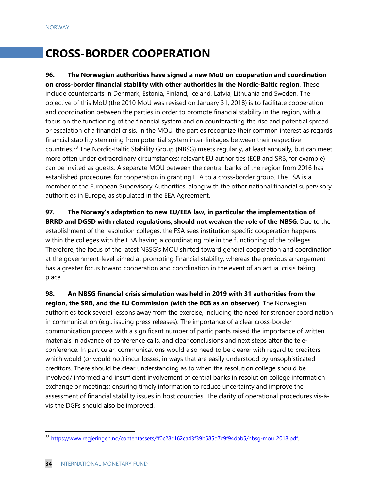# **CROSS-BORDER COOPERATION**

**96. The Norwegian authorities have signed a new MoU on cooperation and coordination on cross-border financial stability with other authorities in the Nordic-Baltic region**. These include counterparts in Denmark, Estonia, Finland, Iceland, Latvia, Lithuania and Sweden. The objective of this MoU (the 2010 MoU was revised on January 31, 2018) is to facilitate cooperation and coordination between the parties in order to promote financial stability in the region, with a focus on the functioning of the financial system and on counteracting the rise and potential spread or escalation of a financial crisis. In the MOU, the parties recognize their common interest as regards financial stability stemming from potential system inter-linkages between their respective countries.[58](#page-34-0) The Nordic-Baltic Stability Group (NBSG) meets regularly, at least annually, but can meet more often under extraordinary circumstances; relevant EU authorities (ECB and SRB, for example) can be invited as guests. A separate MOU between the central banks of the region from 2016 has established procedures for cooperation in granting ELA to a cross-border group. The FSA is a member of the European Supervisory Authorities, along with the other national financial supervisory authorities in Europe, as stipulated in the EEA Agreement.

**97. The Norway's adaptation to new EU/EEA law, in particular the implementation of BRRD and DGSD with related regulations, should not weaken the role of the NBSG**. Due to the establishment of the resolution colleges, the FSA sees institution-specific cooperation happens within the colleges with the EBA having a coordinating role in the functioning of the colleges. Therefore, the focus of the latest NBSG's MOU shifted toward general cooperation and coordination at the government-level aimed at promoting financial stability, whereas the previous arrangement has a greater focus toward cooperation and coordination in the event of an actual crisis taking place.

**98. An NBSG financial crisis simulation was held in 2019 with 31 authorities from the region, the SRB, and the EU Commission (with the ECB as an observer)**. The Norwegian authorities took several lessons away from the exercise, including the need for stronger coordination in communication (e.g., issuing press releases). The importance of a clear cross-border communication process with a significant number of participants raised the importance of written materials in advance of conference calls, and clear conclusions and next steps after the teleconference. In particular, communications would also need to be clearer with regard to creditors, which would (or would not) incur losses, in ways that are easily understood by unsophisticated creditors. There should be clear understanding as to when the resolution college should be involved/ informed and insufficient involvement of central banks in resolution college information exchange or meetings; ensuring timely information to reduce uncertainty and improve the assessment of financial stability issues in host countries. The clarity of operational procedures vis-àvis the DGFs should also be improved.

<span id="page-34-0"></span><sup>58</sup> [https://www.regjeringen.no/contentassets/ff0c28c162ca43f39b585d7c9f94dab5/nbsg-mou\\_2018.pdf.](https://www.regjeringen.no/contentassets/ff0c28c162ca43f39b585d7c9f94dab5/nbsg-mou_2018.pdf)